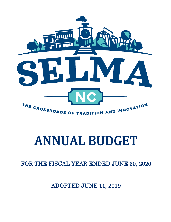

# ANNUAL BUDGET

FOR THE FISCAL YEAR ENDED JUNE 30, 2020

ADOPTED JUNE 11, 2019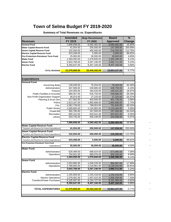# **Town of Selma Budget FY 2019-2020**

## **Summary of Total Revenues vs. Expenditures**

|                                               | <b>Amended</b> | <b>Mngr Recommend</b> | <b>Board</b>    | $\frac{9}{6}$ |
|-----------------------------------------------|----------------|-----------------------|-----------------|---------------|
| <b>Revenues</b>                               | FY 2019        | FY 2020               | <b>Approved</b> | Change        |
| <b>General Fund</b>                           | 7,899,698.00   | 6,560,482.00          | 6,560,482.00    | $-16.95%$     |
| <b>Water Capital Reserve Fund</b>             | 41,934.00      | 200,000.00            | 147,058.00      | 250.69%       |
| <b>Sewer Capital Reserve Fund</b>             | 102,594.00     | 400,000.00            | 219,300.00      | 113.76%       |
| <b>Electric Capital Reserve Fund</b>          | 423,268.00     | 5,000.00              | 5,000.00        | $-98.82%$     |
| Fire Protection-Petroleum Term Fund           | 25,000.00      | 26,000.00             | 26,000.00       | 4.00%         |
| <b>Water Fund</b>                             | 1,393,050.00   | 1,578,600.00          | 1,506,396.00    | 8.14%         |
| <b>Sewer Fund</b>                             | 2,843,768.00   | 3,267,190.00          | 2,992,711.00    | 5.24%         |
| <b>Electric Fund</b>                          | 8,350,647.00   | 8,407,160.00          | 8,407,160.00    | 0.68%         |
|                                               |                |                       |                 |               |
| <b>TOTAL REVENUE</b>                          | 21,079,959.00  | 20,444,432.00         | 19,864,107.00   | $-5.77%$      |
|                                               |                |                       |                 |               |
| <b>Expenditures</b>                           |                |                       |                 |               |
| <b>General Fund</b>                           |                |                       |                 |               |
| Governing Body                                | 128,046.00     | 76,204.00             | 76,204.00       | -40.49%       |
| Administration                                | 467,589.00     | 439,885.00            | 438,708.00      | $-6.18%$      |
| Finance                                       | 154,405.00     | 184,433.00            | 183,541.00      | 18.87%        |
| <b>Public Facilities &amp; Grounds</b>        | 889,357.00     | 526,750.00            | 548,886.00      | $-38.28%$     |
| Non-Profit Organization Support               | 36,974.00      | 27,225.00             | 27,225.00       | $-26.37%$     |
| Planning & Econ Dev                           | 417,082.00     | 403,940.00            | 401,736.00      | $-3.68%$      |
| Police                                        | 1,913,197.00   | 1,965,688.00          | 1,965,688.00    | 2.74%         |
| Fire                                          | 1,562,739.00   | 798,653.00            | 791,846.00      | $-49.33%$     |
| <b>Public Works</b>                           | 1,069,683.00   | 1,134,965.00          | 1,129,469.00    | 5.59%         |
| Powell Bill                                   | 365,780.00     | 167,000.00            | 167,000.00      | $-54.34%$     |
| Recreation                                    | 690,101.00     | 629,541.00            | 625,581.00      | $-9.35%$      |
| Library                                       | 204,745.00     | 206,198.00            | 204,598.00      | $-0.07%$      |
|                                               | 7,899,698.00   | 6,560,482.00          | 6,560,482.00    | -16.95%       |
| <b>Water Capital Reserve Fund</b>             |                |                       |                 |               |
| Transfers and Reserve for Future Expenditures | 41,934.00      | 200,000.00            | 147,058.00      | 250.69%       |
| <b>Sewer Capital Reserve Fund</b>             |                |                       |                 |               |
| Transfers and Reserve for Future Expenditures | 102,594.00     | 400,000.00            | 219,300.00      | 113.76%       |
| <b>Electric Capital Reserve Fund</b>          |                |                       |                 |               |
| Transfers and Reserve for Future Expenditures | 423,268.00     | 5,000.00              | 5,000.00        | $-98.82%$     |
| Fire Protection-Petroleum Term Fund           |                |                       |                 |               |
| Expenditures                                  | 25,000.00      | 26,000.00             | 26,000.00       | 4.00%         |
| <b>Water Fund</b>                             |                |                       |                 |               |
| Administration                                | 628,489.00     | 688,624.00            | 673,066.00      | 7.09%         |
| Operations                                    | 764,561.00     | 889,976.00            | 833,330.00      | 8.99%         |
|                                               | 1,393,050.00   | 1,578,600.00          | 1,506,396.00    | 8.14%         |
| <b>Sewer Fund</b>                             |                |                       |                 |               |
| Administration                                | 1,053,885.00   | 1,048,229.00          | 864,367.00      | $-17.98%$     |
| Operations                                    | 1,789,883.00   | 2,218,961.00          | 2,128,344.00    | 18.91%        |
|                                               | 2,843,768.00   | 3,267,190.00          | 2,992,711.00    | 5.24%         |
| <b>Electric Fund</b>                          |                |                       |                 |               |
| Administration                                | 1,165,569.00   | 1,245,418.00          | 1,245,418.00    | 6.85%         |
| <b>Electric Operations</b>                    | 1,079,491.00   | 1,007,015.00          | 1,000,259.00    | $-7.34%$      |
| <b>Transfers/Power Purchases</b>              | 6,105,587.00   | 6,154,727.00          | 6,161,483.00    | 0.92%         |
|                                               | 8,350,647.00   | 8,407,160.00          | 8,407,160.00    | 0.68%         |
| <b>TOTAL EXPENDITURES</b>                     | 21,079,959.00  | 20,444,432.00         | 19,864,107.00   | $-5.77%$      |
|                                               |                |                       |                 |               |
|                                               |                |                       |                 |               |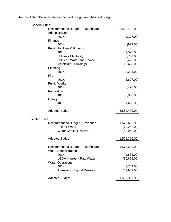Reconciliation Between Recommended Budget and Adopted Budget:

| <b>General Fund:</b>                                        |              |
|-------------------------------------------------------------|--------------|
| <b>Recommended Budget - Expenditures</b><br>Administration  | 6,560,482.00 |
| 401K                                                        | (1, 177.00)  |
| Finance<br>401K                                             | (892.00)     |
| <b>Public Facilities &amp; Grounds</b>                      |              |
| 401K                                                        | (1,592.00)   |
| Utilities - Electricity                                     | 7,700.00     |
| <b>Utilities - Water and Sewer</b>                          | 2,400.00     |
| Maint/Rep - Buildings                                       | 13,628.00    |
| Planning                                                    |              |
| 401K                                                        | (2,204.00)   |
| Fire                                                        |              |
| 401K                                                        | (6,807.00)   |
| <b>Public Works</b>                                         |              |
| 401K                                                        | (5,496.00)   |
| Recreation                                                  |              |
| 401K                                                        | (3,960.00)   |
| Library                                                     |              |
| 401K                                                        | (1,600.00)   |
| <b>Adopted Budget</b>                                       | 6,560,482.00 |
| <b>Water Fund:</b>                                          |              |
| Recommended Budget - Revenues                               | 1,578,600.00 |
| Sale of Water                                               | (19,262.00)  |
| <b>Water Capital Reserve</b>                                | (52, 942.00) |
|                                                             |              |
| <b>Adopted Budget</b>                                       | 1,506,396.00 |
|                                                             |              |
| Recommended Budget - Expenditures                           | 1,578,600.00 |
| <b>Water Administration</b>                                 |              |
| 401k                                                        | (4,883.00)   |
| <b>USDA Interest - Raw Water</b><br><b>Water Operations</b> | (10,675.00)  |
| 401K                                                        | (3,704.00)   |
| <b>Transfer to Capital Reserve</b>                          | (52,942.00)  |
| <b>Adopted Budget</b>                                       | 1,506,396.00 |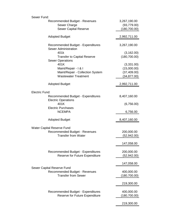| Sewer Fund:                       |                                                                         |               |
|-----------------------------------|-------------------------------------------------------------------------|---------------|
|                                   | <b>Recommended Budget - Revenues</b>                                    | 3,267,190.00  |
|                                   | Sewer Charge                                                            | (93, 779.00)  |
|                                   | <b>Sewer Capital Reserve</b>                                            | (180, 700.00) |
|                                   |                                                                         |               |
|                                   | <b>Adopted Budget</b>                                                   | 2,992,711.00  |
|                                   | <b>Recommended Budget - Expenditures</b><br><b>Sewer Administration</b> | 3,267,190.00  |
|                                   | 401k                                                                    | (3, 162.00)   |
|                                   | <b>Transfer to Capital Reserve</b>                                      | (180, 700.00) |
|                                   | <b>Sewer Operations</b>                                                 |               |
|                                   | 401K                                                                    | (3,331.00)    |
|                                   | Maint/Repair - I & I                                                    | (15,000.00)   |
|                                   | Maint/Repair - Collection System                                        | (37, 409.00)  |
|                                   | <b>Wastewater Treatment</b>                                             | (34, 877.00)  |
|                                   | <b>Adopted Budget</b>                                                   | 2,992,711.00  |
|                                   |                                                                         |               |
| Electric Fund:                    |                                                                         |               |
|                                   | <b>Recommended Budget - Expenditures</b><br><b>Electric Operations</b>  | 8,407,160.00  |
|                                   | 401K                                                                    | (6,756.00)    |
|                                   | <b>Electric Purchases</b><br><b>NCEMPA</b>                              | 6,756.00      |
|                                   | <b>Adopted Budget</b>                                                   | 8,407,160.00  |
|                                   |                                                                         |               |
| <b>Water Capital Reserve Fund</b> |                                                                         |               |
|                                   | Recommended Budget - Revenues                                           | 200,000.00    |
|                                   | <b>Transfer from Water</b>                                              | (52, 942.00)  |
|                                   |                                                                         |               |
|                                   |                                                                         | 147,058.00    |
|                                   |                                                                         |               |
|                                   | <b>Recommended Budget - Expenditures</b>                                | 200,000.00    |
|                                   | Reserve for Future Expenditure                                          | (52, 942.00)  |
|                                   |                                                                         |               |
|                                   |                                                                         | 147,058.00    |
|                                   | Sewer Capital Reserve Fund                                              |               |
|                                   | <b>Recommended Budget - Revenues</b>                                    | 400,000.00    |
|                                   | <b>Transfer from Sewer</b>                                              | (180, 700.00) |
|                                   |                                                                         |               |
|                                   |                                                                         | 219,300.00    |
|                                   |                                                                         |               |
|                                   | <b>Recommended Budget - Expenditures</b>                                | 400,000.00    |
|                                   | Reserve for Future Expenditure                                          | (180,700.00)  |
|                                   |                                                                         |               |
|                                   |                                                                         | 219,300.00    |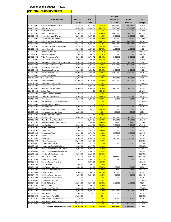## **GENERAL FUND REVENUES**

|                              |                                                                     |                                    |                                                      |                   | <b>Manager</b>                 |                          |                        |
|------------------------------|---------------------------------------------------------------------|------------------------------------|------------------------------------------------------|-------------------|--------------------------------|--------------------------|------------------------|
|                              | <b>Revenue Source</b>                                               | Amended                            | <b>YTD</b>                                           | %                 | Recommend                      | <b>Board</b>             | %                      |
|                              |                                                                     | FY 2019                            | 3/31/2019                                            |                   | FY 2020                        | <b>Approved</b>          | Change                 |
| 10-3010-0000                 | <b>Current Year Property Taxes</b>                                  | 2,275,496.00                       | 2,286,171.31                                         | 100.47%           | 2,503,642.00                   | 2,503,642.00             | 10.03%                 |
| 10-3010-0001                 | Motor Vehicle                                                       | 155,000.00                         | 119,980.23                                           | 77.41%            | 175,000.00                     | 175,000.00               | 12.90%                 |
| 10-3010-0100                 | Prior Year Taxes                                                    | 7,500.00                           | 154.01                                               | 2.05%             | 1,000.00                       | 1,000.00                 | $-86.67%$              |
| 10-3010-3200                 | Local Occupancy Tax                                                 | 107,000.00                         | 99,977.85                                            | 93.44%            | 150,000.00                     | 150,000.00               | 40.19%                 |
| 10-3050-0000                 | Payments in Lieu of Taxes                                           | 32,000.00                          | 33,575.30                                            | 104.92%           | 33,500.00                      | 33,500.00                | 4.69%                  |
| 10-3170-0000                 | <b>Tax Penalties and Interest</b>                                   | 7,500.00                           | 3,484.75                                             | 46.46%            | 6,500.00                       | 6,500.00                 | $-13.33%$              |
| 10-3230-0001                 | Sales & Use Tax Distribution                                        | 965,274.00                         | 751,667.58                                           | 77.87%            | 995,000.00                     | 995,000.00               | 3.08%                  |
| 10-3240-0000                 | <b>Fire District Tax</b>                                            | 198,447.00                         | 178,802.74                                           | 90.10%            | 220,207.00                     | 220,207.00               | 10.97%                 |
| 10-3240-0100                 | Johnston County First Responder                                     | 9,700.00                           | 4,124.97                                             | 42.53%            | 5.500.00                       | 5,500.00                 | $-43.30%$              |
| 10-3290-0000                 | <b>Interest Earned</b>                                              | 13,000.00                          | 11,275.10                                            | 86.73%            | 11,000.00                      | 11,000.00                | $-15.38%$              |
| 10-3290-0100                 | Interest - Powell Bill                                              | 3,500.00                           | 7,465.69                                             | 213.31%           | 7.000.00                       | 7,000.00                 | 100.00%                |
| 10-3290-0200                 | Interest - Suber Fund                                               | 1,000.00                           | 2,504.05                                             | 250.41%           | 2,500.00                       | 2,500.00                 | 150.00%                |
| 10-3310-0000<br>10-3315-0000 | Video Programming Tax<br>Solid Waste Disposal Tax                   | 35,000.00<br>4,000.00              | 18,780.72<br>3,300.63                                | 53.66%<br>82.52%  | 30,000.00<br>5,000.00          | 30,000.00<br>5,000.00    | $-14.29%$<br>25.00%    |
| 10-3324-0000                 | <b>Telecommunication Services Sales Tax</b>                         | 60,000.00                          | 32,365.16                                            | 53.94%            | 54,000.00                      | 54,000.00                | $-10.00%$              |
| 10-3325-0000                 | Electric Power Franchise Tax                                        | 275,000.00                         | 241,779.02                                           | 87.92%            | 350,000.00                     | 350,000.00               | 27.27%                 |
| 10-3326-0000                 | Natural Gas Excise Tax                                              | 10,000.00                          | 4,274.26                                             | 42.74%            | 11,000.00                      | 11,000.00                | 10.00%                 |
| 10-3350-0000                 | Miscellaneous Revenue                                               | 36,961.00                          | 6,428.21                                             | 17.39%            | 10,000.00                      | 10,000.00                | $-72.94%$              |
| 10-3350-0200                 | <b>Refuse Collection Fees</b>                                       | 660,000.00                         | 513,881.72                                           | 77.86%            | 660,000.00                     | 660,000.00               | 0.00%                  |
| 10-3350-0400                 | <b>Insurance Proceeds</b>                                           | 2,582.00                           | 2,582.00                                             | 100.00%           |                                |                          | $-100.00%$             |
| 10-3410-0000                 | Wine & Beer Tax                                                     | 27,000.00                          |                                                      | 0.00%             | 27,500.00                      | 27,500.00                | 1.85%                  |
| 10-3430-0000                 | <b>Powell Bill Street</b>                                           | 167,000.00                         | 166,791.62                                           | 99.88%            | 167,000.00                     | 167,000.00               | 0.00%                  |
| 10-3431-2700                 | <b>USDA Grant Civic Center</b>                                      | 197,266.00                         |                                                      | 0.00%             |                                |                          | $-100.00\%$            |
| 10-3450-0102                 | Drug Forfeiture Tax                                                 |                                    | 10,398.60                                            | #DIV/0!           |                                |                          | #DIV/0!                |
| 10-3470-0000                 | Local ABC Net Revenues                                              | 40,000.00                          | 24,553.75                                            | 61.38%<br>#DIV/0! | 40,000.00                      | 40,000.00                | 0.00%                  |
| 10-3480-0000<br>10-3480-0100 | Animal Tags<br><b>Animal Nuisance Penalties</b>                     | $\overline{\phantom{a}}$<br>250.00 | 4.00<br>$\sim$                                       | 0.00%             | $\overline{\phantom{a}}$<br>÷, |                          | #DIV/0!<br>$-100.00\%$ |
| 10-3491-0000                 | Planning & Zoning Fees                                              | 10,000.00                          | 9,700.00                                             | 97.00%            | 10,000.00                      | 10,000.00                | 0.00%                  |
| 10-3510-0000                 | <b>Court Cost Fees</b>                                              | 2,500.00                           | 1,238.19                                             | 49.53%            | 1,500.00                       | 1,500.00                 | $-40.00%$              |
| 10-3520-0000                 | Fire Protection - State Reimbursement                               | 261.00                             |                                                      | 0.00%             |                                |                          | -100.00%               |
| 10-3550-0000                 | <b>Construction Permit Fees</b>                                     |                                    | 4.50                                                 | #DIV/0!           |                                |                          | #DIV/0!                |
| 10-3550-0100                 | <b>Fire Inspection Fees</b>                                         | 5,000.00                           | 3,260.00                                             | 65.20%            | 5,000.00                       | 5,000.00                 | 0.00%                  |
| 10-3550-0200                 | Code Enforcement Citation Fees                                      | 2,500.00                           | 2,066.67                                             | 82.67%            | 2,500.00                       | 2,500.00                 | 0.00%                  |
| 10-3550-0300                 | <b>Compliance Inspection Fees</b>                                   | 2,500.00                           | $\overline{\phantom{a}}$                             | 0.00%             | 2,500.00                       | 2,500.00                 | 0.00%                  |
| 10-3600-0100                 | Library Donations - Books                                           | $\sim$                             | 2,155.79                                             | #DIV/0!           | $\blacksquare$                 | $\overline{\phantom{a}}$ | #DIV/0!                |
| 10-3610-0100                 | Cemetery Lots                                                       | 90,000.00                          | 51,810.25                                            | 57.57%            | 80,000.00                      | 80,000.00                | $-11.11%$              |
| 10-3610-0200                 | Mausoleum Crypt/Niche Sales                                         |                                    | 32,640.11                                            | #DIV/0!           | 30,000.00                      | 30,000.00                | #DIV/0!                |
| 10-3610-0250<br>10-3610-0300 | Mausoleum Bond Interest Rebate                                      | 3,500.00                           | 2,696.78                                             | 77.05%            | 1,787.00                       | 1,787.00                 | $-48.94%$              |
| 10-3611-0200                 | <b>Opening Graves</b><br><b>Library Fines/Fees</b>                  | 55,000.00<br>2,000.00              | 48,126.00<br>1,670.45                                | 87.50%<br>83.52%  | 70,000.00<br>1,700.00          | 70,000.00<br>1,700.00    | 27.27%<br>$-15.00%$    |
| 10-3612-4103                 | <b>Senior Trips</b>                                                 | 500.00                             | 345.00                                               | 69.00%            | 500.00                         | 500.00                   | 0.00%                  |
| 10-3650-0200                 | <b>Recreational Fees</b>                                            | 40,000.00                          | 53,784.71                                            | 134.46%           | 45,000.00                      | 45,000.00                | 12.50%                 |
| 10-3650-0400                 | <b>Railroad Days</b>                                                | 15,000.00                          | 17,984.22                                            | 119.89%           | 15,000.00                      | 15,000.00                | 0.00%                  |
| 10-3650-0500                 | Santa Train                                                         | 16,000.00                          | 16.030.00                                            | 100.19%           | 16,000.00                      | 16,000.00                | 0.00%                  |
| 10-3830-0000                 | Sale of Fixed Assets                                                | 153,400.00                         | 157,593.03                                           | 102.73%           |                                |                          | $-100.00%$             |
| 10-3833-0001                 | All-American Festival                                               | 2,000.00                           | 2,642.00                                             | 132.10%           | 1,200.00                       | 1,200.00                 | -40.00%                |
| 10-3833-0003                 | Donations to Selma Civic Center                                     | 11,345.00                          | 13,176.00                                            | 116.14%           |                                |                          | $-100.00%$             |
| 10-3833-0005                 | JOCO Visitors Bureau Civic Center                                   | 15,000.00                          | 15,000.00                                            | 100.00%           | ÷                              |                          | -100.00%               |
| 10-3833-0006                 | JOCO Visitors Bureau Tennis Court                                   |                                    | 5,000.00                                             | #DIV/0!           |                                |                          | #DIV/0!                |
| 10-3833-4300                 | Donations/Police Department                                         | 3,500.00                           | 2,124.80                                             | 60.71%            | $\overline{\phantom{a}}$       | ٠                        | -100.00%               |
| 10-3833-4341                 | Fire - SAFER Grant                                                  | 53,543.00                          | 16,313.44                                            | 30.47%            | 90,554.00                      | 90,554.00                | 69.12%                 |
| 10-3833-4342<br>10-3833-4343 | <b>Parks Special Events</b><br>Harrison Tennis Court Grant          | 7,000.00<br>$\sim$                 | 3,400.00<br>53,000.00                                | 48.57%<br>#DIV/0! | 7.000.00                       | 7,000.00                 | 0.00%<br>#DIV/0!       |
| 10-3833-4344                 | Arbor Program                                                       | 600.00                             | 800.00                                               | 133.33%           | ÷,                             |                          | $-100.00%$             |
| 10-3834-8602                 | Rent/Waste Industries                                               | 1,800.00                           | 900.00                                               | 50.00%            | 1,800.00                       | 1,800.00                 | 0.00%                  |
| 10-3834-8604                 | Rent/Alcoholics Anonymous                                           |                                    | 240.00                                               | #DIV/0!           | 240.00                         | 240.00                   | #DIV/0!                |
| 10-3834-8606                 | Rent/Head Start                                                     | 9,000.00                           | 7,500.00                                             | 83.33%            | 9,000.00                       | 9,000.00                 | 0.00%                  |
| 10-3834-8607                 | Rent/SBA Towers Ventures                                            | 4,800.00                           | 5,249.06                                             | 109.36%           | 6,000.00                       | 6,000.00                 | 25.00%                 |
| 10-3834-8608                 | Rent/Harrison Senior Center                                         | 1.00                               | $\overline{\phantom{a}}$                             | 0.00%             | 1.00                           | 1.00                     | 0.00%                  |
| 10-3834-8609                 | Rent/Boys & Girls Club                                              | 1.00                               | $\overline{\phantom{a}}$                             | 0.00%             | $\overline{\phantom{a}}$       |                          | $-100.00\%$            |
| 10-3834-8610                 | Rent/EMS building                                                   | 18,000.00                          | 13,500.00                                            | 75.00%            | 18,000.00                      | 18,000.00                | 0.00%                  |
| 10-3920-0500                 | Loan Proceeds                                                       | 722,000.00                         | 722,000.00                                           | 100.00%           |                                |                          | $-100.00\%$            |
| 10-3980-2000                 | Transfer from Fund 20                                               | 12,000.00                          | 12,000.00                                            | 100.00%           | $\overline{a}$                 |                          | $-100.00\%$            |
| 10-3980-6300                 | Transfer from Electric                                              | 175,000.00                         | 175,000.00                                           | 100.00%           | 175,000.00                     | 175,000.00               | 0.00%                  |
| 10-3990-0199                 | <b>Fund Balance Suber</b>                                           | 22,350.00                          |                                                      | 0.00%             | 22,351.00                      | 22,351.00                | 0.00%                  |
| 10-3990-0200                 | Fund Balance Powell Bill                                            | 216,830.00                         | $\overline{\phantom{a}}$                             | 0.00%             |                                |                          | $-100.00\%$            |
| 10-3990-0201<br>10-3990-0202 | Fund Balance Perpetual Care<br><b>Fund Balance Asset Forfeiture</b> | 7,500.00<br>40,100.00              | $\overline{\phantom{a}}$<br>$\overline{\phantom{a}}$ | 0.00%<br>0.00%    | 7,500.00                       | 7,500.00                 | 0.00%<br>-100.00%      |
| 10-3990-0000                 | <b>Fund Balance</b>                                                 | 888,691.00                         | $\overline{\phantom{a}}$                             | 0.00%             | 475,000.00                     | 475,000.00               | $-46.55%$              |
|                              | General Fund Revenues Totals                                        | 7,899,698.00                       | 5,973,274.27                                         | 75.61%            | 6,560,482.00                   | 6,560,482.00             | $-16.95%$              |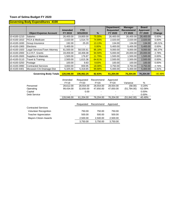## **Governing Body Expenditures 4100**

|              |                               | Amended    | <b>YTD</b> |               | <b>Department</b><br><b>Requested</b> | <b>Manager</b><br>Recommend | <b>Board</b><br><b>Approved</b> | $\%$      |
|--------------|-------------------------------|------------|------------|---------------|---------------------------------------|-----------------------------|---------------------------------|-----------|
|              | <b>Object Expense Account</b> | FY 2019    | 3/31/2019  | $\frac{9}{6}$ | <b>FY 2020</b>                        | FY 2020                     | <b>FY 2020</b>                  | Change    |
| 10-4100-1210 | <b>Salaries</b>               | 26,400.00  | 19,800.00  | 75.00%        | 26,400.00                             | 26,400.00                   | 26,400.00                       | 0.00%     |
| 10-4100-1810 | FICA & Medicare               | 2,020.00   | 1.514.70   | 74.99%        | 2,020.00                              | 2,020.00                    | 2,020.00                        | 0.00%     |
| 10-4100-1830 | Group Insurance               | 192.00     | 25.20      | <b>13.13%</b> | 134.00                                | 134.00                      | 134.00                          | $-30.21%$ |
| 10-4100-1900 | Elections                     | 5,400.00   |            | 0.00%         | 5,400.00                              | 5,400.00                    | 5,400.00                        | 0.00%     |
| 10-4100-1920 | Legal Services/Town Attorney  | 61,500.00  | 58,535.61  | 95.18%        | 9,000.00                              | 9,000.00                    | 9,000.00                        | $-85.37%$ |
| 10-4100-2000 | S.U.R.F. Grants               | 19.459.00  | 18,406.08  | 94.59%        | 5,000.00                              | 20,000.00                   | 20,000.00                       | 2.78%     |
| 10-4100-2600 | Supplies & Materials          | 1.500.00   | 176.87     | <b>11.79%</b> | 1.500.00                              | 1.500.00                    | 1.500.00                        | $0.00\%$  |
| 10-4100-3110 | Travel & Training             | 2,500.00   | 1,615.36   | 64.61%        | 2,500.00                              | 2,500.00                    | 2,500.00                        | $0.00\%$  |
| 10-4100-3250 | Postage                       | 100.00     | 9.83       | 9.83%         | 100.00                                | 100.00                      | 100.00                          | 0.00%     |
| 10-4100-3990 | <b>Contracted Services</b>    | 3.650.00   | 659.95     | 18.08%        | 3.750.00                              | 3,750.00                    | 3.750.00                        | 2.74%     |
| 10-4100-4401 | Mocassin Crk Drainage Dist    | 5,325.00   | 5,318.65   | 99.88%        | 5,400.00                              | 5,400.00                    | 5,400.00                        | 1.41%     |
|              | <b>Governing Body Totals</b>  | 128.046.00 | 106.062.25 | 82.83%        | 61,204.00                             | 76.204.00                   | 76,204.00                       | $-40.49%$ |

|                              | Amended<br><b>FY19</b> | Requested<br>FY20 | Recommend<br><b>FY20</b> | Approved<br>FY20 | Variance    | %         |
|------------------------------|------------------------|-------------------|--------------------------|------------------|-------------|-----------|
| Personnel                    | 28,612.00              | 28,554.00         | 28,554.00                | 28,554.00        | (58.00)     | $-0.20%$  |
| Operating                    | 99,434.00              | 32,650.00         | 47,650.00                | 47,650.00        | (51,784.00) | $-52.08%$ |
| Capital                      |                        | 0.00              |                          |                  |             | 0.00%     |
| Debt Service                 |                        |                   |                          |                  |             | $0.00\%$  |
|                              | 128.046.00             | 61.204.00         | 76.204.00                | 76.204.00        | (51.842.00) | $-40.49%$ |
|                              |                        |                   |                          |                  |             |           |
|                              |                        | Requested         | Recommend                | Approved         |             |           |
| <b>Contracted Services</b>   |                        |                   |                          |                  |             |           |
| <b>Volunteer Recognition</b> |                        | 750.00            | 750.00                   | 750.00           |             |           |
| <b>Teacher Appreciation</b>  |                        | 500.00            | 500.00                   | 500.00           |             |           |
| <b>Mayors Citizen Awards</b> |                        | 2.500.00          | 2.500.00                 | 2,500.00         |             |           |
|                              |                        | 3.750.00          | 3.750.00                 | 3.750.00         |             |           |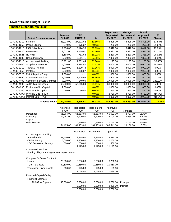## **Finance Expenditures 4130**

|              |                                   |                           |                         |          | <b>Department</b>           | <b>Manager</b>       | <b>Board</b>               |                |
|--------------|-----------------------------------|---------------------------|-------------------------|----------|-----------------------------|----------------------|----------------------------|----------------|
|              | <b>Object Expense Account</b>     | <b>Amended</b><br>FY 2019 | <b>YTD</b><br>3/31/2019 | %        | <b>Requested</b><br>FY 2020 | Recommend<br>FY 2020 | <b>Approved</b><br>FY 2020 | $\%$<br>Change |
| 10-4130-1210 | <b>Salaries</b>                   | 38,923.00                 | 27,202.62               | 69.89%   | 44,305.00                   | 44,305.00            | 44,305.00                  | 13.83%         |
| 10-4130-1250 | <b>Phone Stipend</b>              | 240.00                    | 175.37                  | 0.00%    | 292.00                      | 292.00               | 292.00                     | 21.67%         |
| 10-4130-1810 | <b>FICA &amp; Medicare</b>        | 2,996.00                  | 2,124.98                | 70.93%   | 3,412.00                    | 3,412.00             | 3,412.00                   | 13.89%         |
| 10-4130-1820 | Retirement                        | 3,017.00                  | 2,129.97                | 70.60%   | 3,992.00                    | 3,992.00             | 3,992.00                   | 32.32%         |
| 10-4130-1821 | <b>NC 401k</b>                    | 1,168.00                  | 781.63                  | 66.92%   | 2,230.00                    | 2,230.00             | 1,338.00                   | 90.92%         |
| 10-4130-1830 | Group Insurance                   | 5,620.00                  | 3,811.71                | 67.82%   | 7,352.00                    | 7,352.00             | 7,352.00                   | 30.82%         |
| 10-4130-1910 | Accounting & Auditing             | 15,991.00                 | 14,701.44               | 91.94%   | 11,125.00                   | 11,125.00            | 11,125.00                  | $-30.43%$      |
| 10-4130-2600 | Supplies & Materials              | 5,000.00                  | 3,388.50                | 67.77%   | 6,000.00                    | 6,000.00             | 6,000.00                   | 20.00%         |
| 10-4130-3110 | Travel & Training                 | 3,000.00                  | 1,120.74                | 37.36%   | 3,000.00                    | 3,000.00             | 3,000.00                   | 0.00%          |
| 10-4130-3250 | Postage                           | 2,000.00                  | 168.27                  | 8.41%    | 2,000.00                    | 2,000.00             | 2,000.00                   | $0.00\%$       |
| 10-4130-3520 | Maint/Repair - Equip              | 1,000.00                  |                         | 0.00%    | 1,000.00                    | 1,000.00             | 1,000.00                   | 0.00%          |
| 10-4130-3990 | <b>Contracted Services</b>        | 7,000.00                  | 2,705.94                | 38.66%   | 7,500.00                    | 7,500.00             | 7,500.00                   | 7.14%          |
| 10-4130-4400 | <b>Computer Software Contract</b> | 7,000.00                  | 240.00                  | 3.43%    | 17,025.00                   | 17,025.00            | 17,025.00                  | 143.21%        |
| 10-4130-4500 | Jo Co Tax Collection              | 60,000.00                 | 57,245.34               | 95.41%   | 63,000.00                   | 63,000.00            | 63,000.00                  | 5.00%          |
| 10-4130-4990 | Equipment/Not Capital             | 1,000.00                  |                         | 0.00%    | 1,000.00                    | 1,000.00             | 1,000.00                   | 0.00%          |
| 10-4130-5300 | Dues & Subscription               | 450.00                    | 50.00                   | 0.00%    | 450.00                      | 450.00               | 450.00                     | 0.00%          |
|              | 10-4130-XXXX Principal Due - FY20 | $\blacksquare$            |                         | 0.00%    | 8,730.00                    | 8,730.00             | 8,730.00                   | #DIV/0!        |
|              | 10-4130-XXXX Interest Due - FY20  |                           |                         | $0.00\%$ | 2,020.00                    | 2,020.00             | 2,020.00                   | #DIV/0!        |
|              | Finance Totals 154,405.00         |                           | 115,846.51              | 75.03%   | 184,433.00                  | 184,433.00           | 183,541.00                 | <b>18.87%</b>  |

|                                                    | Amended     | Requested   | Recommend   | Approved    |           |        |
|----------------------------------------------------|-------------|-------------|-------------|-------------|-----------|--------|
|                                                    | <b>FY19</b> | <b>FY20</b> | <b>FY20</b> | <b>FY20</b> | Variance  | %      |
| Personnel                                          | 51,964.00   | 61,583.00   | 61,583.00   | 60,691.00   | 8,727.00  | 16.79% |
| Operating                                          | 102,441.00  | 112,100.00  | 112,100.00  | 112,100.00  | 9,659.00  | 9.43%  |
| Capital                                            |             |             |             |             |           | 0.00%  |
| <b>Debt Service</b>                                |             | 10,750.00   | 10,750.00   | 10,750.00   | 10,750.00 | 0.00%  |
|                                                    | 154,405.00  | 184,433.00  | 184,433.00  | 183,541.00  | 29,136.00 | 18.87% |
|                                                    |             |             |             |             |           |        |
|                                                    |             | Requested   | Recommend   | Approved    |           |        |
| <b>Accounting and Auditing</b>                     |             |             |             |             |           |        |
| <b>Annual Audit</b>                                | 37,500.00   | 9,375.00    | 9,375.00    | 9,375.00    |           |        |
| <b>OPEB Actuary</b>                                | 5.000.00    | 1,250.00    | 1.250.00    | 1,250.00    |           |        |
| <b>LEO Separation Actuary</b>                      | 500.00      | 500.00      | 500.00      | 500.00      |           |        |
|                                                    |             | 11,125.00   | 11,125.00   | 11,125.00   |           |        |
| <b>Contracted Services</b>                         |             |             |             |             |           |        |
| Printing bills, shredding service, copier contract |             |             |             |             |           |        |
|                                                    |             |             |             |             |           |        |
| <b>Computer Software Contract</b><br>Harris        | 25,000.00   | 6,250.00    | 6,250.00    | 6,250.00    |           |        |
|                                                    |             |             |             |             |           |        |
| Tyler - projected                                  | 42,600.00   | 10.650.00   | 10,650.00   | 10.650.00   |           |        |
| Thompson - fixed assets                            | 500.00      | 125.00      | 125.00      | 125.00      |           |        |
|                                                    |             | 17,025.00   | 17,025.00   | 17,025.00   |           |        |
| <b>Financed Capital Outlay</b>                     |             |             |             |             |           |        |
| <b>Financial Software</b>                          |             |             |             |             |           |        |
| 190,067 for 5 years                                | 43,000.00   | 8,730.00    | 8,730.00    | 8.730.00    | Principal |        |
|                                                    |             | 2,020.00    | 2,020.00    | 2,020.00    | Interest  |        |
|                                                    |             | 10,750.00   | 10,750.00   | 10,750.00   |           |        |
|                                                    |             |             |             |             |           |        |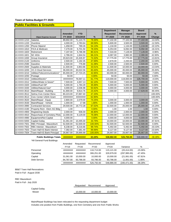#### **Public Facilities & Grounds**

|              |                                 |                |            |         | <b>Department</b> | <b>Manager</b> | <b>Board</b> |             |
|--------------|---------------------------------|----------------|------------|---------|-------------------|----------------|--------------|-------------|
|              |                                 | <b>Amended</b> | <b>YTD</b> |         | <b>Requested</b>  | Recommend      | Approved     | %           |
|              | <b>Object Expense Account</b>   | FY 2019        | 3/31/2019  | %       | FY 2020           | <b>FY 2020</b> | FY 2020      | Change      |
| 10-XXXX-1210 | Salaries                        | 89,692.00      | 71,124.70  | 79.30%  | 77,102.00         | 77,102.00      | 77,102.00    | $-14.04%$   |
| 10-XXXX-1220 | Overtime                        | 4,000.00       | 2,783.64   | 69.59%  | 5,600.00          | 3,500.00       | 3,500.00     | $-12.50%$   |
| 10-XXXX-1250 | <b>Phone Stipend</b>            | 1,458.00       | 789.26     | 54.13%  | 1,134.00          | 1,134.00       | 1,134.00     | $-22.22%$   |
| 10-XXXX-1810 | FICA & Medicare                 | 7,279.00       | 5,701.50   | 78.33%  | 6,253.00          | 6,092.00       | 6,092.00     | $-16.31%$   |
| 10-XXXX-1820 | Retirement                      | 7,197.00       | 5,786.99   | 80.41%  | 7,316.00          | 7,128.00       | 7,128.00     | $-0.96%$    |
| 10-XXXX-1821 | <b>NC 401k</b>                  | 2,786.00       | 1,844.54   | 66.21%  | 4,087.00          | 3,982.00       | 2,390.00     | 42.93%      |
| 10-XXXX-1830 | Group Insurance                 | 20,623.00      | 15,326.97  | 74.32%  | 17,775.00         | 17,775.00      | 17,775.00    | $-13.81%$   |
| 10-XXXX-2120 | Uniforms                        | 2,500.00       | 1,192.35   | 47.69%  | 2,878.00          | 2,200.00       | 2,200.00     | $-12.00%$   |
| 10-XXXX-2590 | Gasoline                        | 2,500.00       | 776.88     | 31.08%  | 2,500.00          | 2,500.00       | 2,500.00     | 0.00%       |
| 10-XXXX-2600 | Supplies & Materials            | 11,500.00      | 3,853.86   | 33.51%  | 11,500.00         | 10,000.00      | 10,000.00    | $-13.04%$   |
| 10-XXXX-3200 | <b>VC-3 Cloud Services</b>      | 36,000.00      | 30,022.56  | 83.40%  | 45,000.00         | 45,000.00      | 45,000.00    | 25.00%      |
| 10-XXXX-3210 | Utilities/Telecommunications*   | 65,000.00      | 27,724.25  | 42.65%  | 60,000.00         | 60,000.00      | 60,000.00    | $-7.69%$    |
| 10-XXXX-3250 | Postage                         | 50.00          |            | 0.00%   | 50.00             | 50.00          | 50.00        | 0.00%       |
| 10-XXXX-3310 | Utilities/Electric*             | ########       | 76,597.11  | 61.77%  | 119,000.00        | 119,000.00     | 126,700.00   | $-4.03%$    |
| 10-XXXX-3312 | Utilities/Water & Sewer*        | 7,500.00       | 4,657.13   | 62.10%  | 7,500.00          | 7,500.00       | 9,900.00     | 0.00%       |
| 10-XXXX-3320 | Utilities/Fuel Oil*             | 5,000.00       | 1,784.29   | 35.69%  | 5,000.00          | 5,000.00       | 5,000.00     | 0.00%       |
| 10-XXXX-3330 | Utilities/Natural Gas*          | 4,000.00       | 2,036.98   | 50.92%  | 4,000.00          | 4,000.00       | 4,000.00     | 0.00%       |
| 10-XXXX-3510 | Maint/Repair - Building         | 41,900.00      | 9,814.76   | 23.42%  | 4,000.00          | 4,000.00       | 17,628.00    | $-90.45%$   |
| 10-XXXX-3512 | Selma Civic Center Reno         | 80,223.00      | 37,867.40  | 47.20%  |                   |                |              | $-100.00\%$ |
| 10-XXXX-3513 | Civic Center USDA Grant         | ########       | ########   | 62.90%  |                   |                |              | $-100.00\%$ |
| 10-XXXX-3520 | Maint/Repair - Equip            | 2,800.00       | 2,079.00   | 74.25%  | 3,000.00          | 3,000.00       | 3,000.00     | 7.14%       |
| 10-XXXX-3530 | Maint/Repair - Vehicle          | 1,000.00       | 17.98      | 1.80%   | 1,000.00          | 1,000.00       | 1,000.00     | 0.00%       |
| 10-XXXX-3990 | <b>Contracted Services</b>      | 29,500.00      | 19,772.28  | 67.02%  | 32,500.00         | 25,000.00      | 25,000.00    | $-15.25%$   |
| 10-XXXX-4190 | Property Rent - Elem AG Bldg    | 1.00           |            | 0.00%   | 1.00              | 1.00           | 1.00         | 0.00%       |
| 10-XXXX-4900 | <b>Registering Deeds</b>        | 2,000.00       | 936.00     | 46.80%  | 2,000.00          | 2,000.00       | 2,000.00     | 0.00%       |
| 10-XXXX-4910 | Repurchase of Cemetery Plots    | 12,000.00      | 9,129.00   | 76.08%  | 12,000.00         | 12,000.00      | 12,000.00    | 0.00%       |
| 10-XXXX-4990 | Equipment/Not Capital           | 4,000.00       |            | 0.00%   | 4,000.00          | 4,000.00       | 4,000.00     | 0.00%       |
| 10-XXXX-5000 | <b>Capital Outlay</b>           | 31,061.00      | 10,495.00  | 33.79%  | 10,000.00         | 10,000.00      | 10,000.00    | $-67.81%$   |
| 10-XXXX-7501 | RBC Principal - Mausoleum       | 52,500.00      | 52,500.00  | 100.00% | 52,500.00         | 52,500.00      | 52,500.00    | 0.00%       |
| 10 XXXX-7502 | <b>RBC Interest - Mausoleum</b> | 8,238.00       | 8,216.66   | 99.74%  | 5,492.00          | 5,492.00       | 5,492.00     | $-33.33%$   |
| 10-XXXX-7503 | Town Hall KS Bank Interest      | 7,382.00       | 7,381.49   | 99.99%  | 9,127.00          | 9,127.00       | 9,127.00     | 23.64%      |
| 10-XXXX-7504 | Town Hall KS Bank Principal     | 26,667.00      | 26,666.68  | 100.00% | 26,667.00         | 26,667.00      | 26,667.00    | 0.00%       |
|              | <b>Public Buildings Totals</b>  | ########       | ########   | 63.20%  | 538,982.00        | 526,750.00     | 548,886.00   | $-38.28%$   |

| . apno Danamgo . otalo      | ,,,,,,,,,,,,,,,, | ,,,,,,,,,,,,,,, | ------ <i>--</i> | ----------- | <u>wawii wwiww</u> | $v_i v_i v_i v_i v_i$ |
|-----------------------------|------------------|-----------------|------------------|-------------|--------------------|-----------------------|
| *All General Fund Buildings |                  |                 |                  |             |                    |                       |
|                             | Amended          | Reauested       | Recommend        | Approved    |                    |                       |
|                             | <b>FY19</b>      | <b>FY20</b>     | FY20             | <b>FY20</b> | Variance           | %                     |
| Personnel                   | ########         | ########        | 116,713.00       | 115.121.00  | (20, 414.00)       | $-15.06%$             |
| Operating                   | ########         | ########        | 306.251.00       | 329.979.00  | (297, 995.00)      | -47.45%               |
| Capital                     | 31.061.00        | 10.000.00       | 10.000.00        | 10.000.00   | (21,061.00)        | $-67.81%$             |
| <b>Debt Service</b>         | 94,787.00        | 93,786.00       | 93,786.00        | 93,786.00   | (1,001.00)         | $-1.06%$              |
|                             | ########         | ########        | 526.750.00       | 548.886.00  | (340.471.00)       | $-38.28%$             |

BB&T Town Hall Renovations Paid in Full - August 2030

#### RBC Mausoleum Paid in Full - July 2020

|                | Reauested | Recommend | Approved  |
|----------------|-----------|-----------|-----------|
| Capital Outlay |           |           |           |
| Mower          | 10.000.00 | 10.000.00 | 10,000.00 |

Maint/Repair Buildings has been relocated to the requesting department budget Includes one position from Public Buildings, one from Cemetery and one from Public Works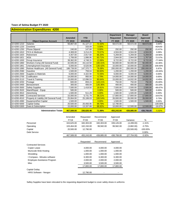#### **Administration Expenditures 4200**

|              |                                         |                |            |               | <b>Department</b> | <b>Manager</b>   | <b>Board</b>    |               |
|--------------|-----------------------------------------|----------------|------------|---------------|-------------------|------------------|-----------------|---------------|
|              |                                         | <b>Amended</b> | <b>YTD</b> |               | <b>Requested</b>  | <b>Recommend</b> | <b>Approved</b> | $\frac{9}{6}$ |
|              | <b>Object Expense Account</b>           | FY 2019        | 3/31/2019  | $\frac{9}{6}$ | FY 2020           | FY 2020          | FY 2020         | Change        |
| 10-4200-1210 | <b>Salaries</b>                         | 56,867.00      | 41,127.22  | 72.32%        | 58,572.00         | 58,572.00        | 58,572.00       | 3.00%         |
| 10-4200-1220 | Overtime                                |                | 333.09     | 0.00%         |                   |                  |                 | #DIV/0!       |
| 10-4200-1250 | <b>Phone Stipend</b>                    | 240.00         | 147.68     | 0.00%         | 292.00            | 292.00           | 292.00          | 21.67%        |
| 10-4200-1810 | FICA & Medicare                         | 4,369.00       | 3,214.20   | 73.57%        | 4,504.00          | 4,504.00         | 4,504.00        | 3.09%         |
| 10-4200-1820 | Retirement                              | 4,407.00       | 2,917.60   | 66.20%        | 5,269.00          | 5,269.00         | 5,269.00        | 19.56%        |
| 10-4200-1821 | 401k                                    | 1.706.00       | 1.086.95   | 63.71%        | 2.944.00          | 2.944.00         | 1.767.00        | 72.57%        |
| 10-4200-1830 | Group Insurance                         | 39.362.00      | 4,748.31   | 12.06%        | 8.722.00          | 8,722.00         | 8.722.00        | $-77.84%$     |
| 10-4200-1860 | Workers Comp (All General Fund)         | 42.935.00      | 43,110.50  | 100.41%       | 50.000.00         | 50.000.00        | 50,000.00       | 16.46%        |
| 10-4200-1861 | Unemployment Insurance                  | 5,000.00       | 6,520.96   | 130.42%       | 10,000.00         | 10,000.00        | 10,000.00       | 100.00%       |
| 10-4200-1890 | Retiree Healthcare (All General Fund)   | 188,739.00     | 147,370.71 | 78.08%        | 200,000.00        | 200,000.00       | 200,000.00      | 5.97%         |
| 10-4200-2590 | Gasoline                                | 1,500.00       | 759.04     | 50.60%        | 1,200.00          | 1,200.00         | 1,200.00        | $-20.00%$     |
| 10-4200-2600 | Supplies & Materials                    | 6,000.00       | 4,322.90   | 72.05%        | 6,000.00          | 6,000.00         | 6,000.00        | 0.00%         |
| 10-4200-2700 | Codification                            | 14,000.00      | 950.00     | 6.79%         | 14,000.00         | 14,000.00        | 14,000.00       | 0.00%         |
| 10-4200-3110 | Travel & Training                       | 15,000.00      | 12,096.53  | 80.64%        | 15,000.00         | 14,932.00        | 14,932.00       | $-0.45%$      |
| 10-4200-3250 | Postage                                 | 600.00         | 859.24     | 143.21%       | 750.00            | 750.00           | 750.00          | 25.00%        |
| 10-4200-3400 | Bereavement                             | 300.00         | 406.09     | 135.36%       | 400.00            | 400.00           | 400.00          | 33.33%        |
| 10-4200-3500 | <b>Safety Supplies</b>                  | 7,500.00       | 1,418.50   | 18.91%        | 7,500.00          | 2,500.00         | 2,500.00        | $-66.67%$     |
| 10-4200-3520 | Maint/Repair - Equip                    | 500.00         |            | 0.00%         | 500.00            | 500.00           | 500.00          | 0.00%         |
| 10-4200-3910 | Advertising                             | 1,500.00       | 511.29     | 0.00%         | 1,500.00          | 1,500.00         | 1,500.00        | 0.00%         |
| 10-4200-3990 | <b>Contracted Services</b>              | 15,000.00      | 5,731.79   | 38.21%        | 17,800.00         | 17,800.00        | 17,800.00       | 18.67%        |
| 10-4200-4510 | Property & Liability (All General Fund) | 25,064.00      | 25,199.03  | 100.54%       | 26,000.00         | 26,000.00        | 26,000.00       | 3.73%         |
| 10-4200-4990 | Equipment/Not Capital                   | 1,500.00       |            | 0.00%         | 1,500.00          | 1,500.00         | 1,500.00        | 0.00%         |
| 10-4200-5000 | Capital Outlay                          | 20,500.00      | 20,456.95  | 99.79%        | 12,790.00         |                  |                 | $-100.00\%$   |
| 10-4200-5300 | Dues & Subscription                     | 15,000.00      | 13,337.88  | 88.92%        | 10,000.00         | 12,500.00        | 12,500.00       | $-16.67%$     |
|              | <b>Administration Totals</b>            | 467,589.00     | 336,626.46 | 71.99%        | 455,243.00        | 439,885.00       | 438,708.00      | $-5.92%$      |

|                             | Amended     | Requested  | Recommend   | Approved    |             |             |
|-----------------------------|-------------|------------|-------------|-------------|-------------|-------------|
|                             | <b>FY19</b> | FY20       | <b>FY20</b> | <b>FY20</b> | Variance    | %           |
| Personnel                   | 343,625.00  | 340,303.00 | 340,303.00  | 339,126.00  | (4,499.00)  | $-1.31%$    |
| Operating                   | 103,464.00  | 102,150.00 | 99,582.00   | 99,582.00   | (3,882.00)  | $-3.75%$    |
| Capital                     | 20,500.00   | 12,790.00  |             |             | (20,500.00) | $-100.00\%$ |
| Debt Service                |             |            |             |             |             | 0.00%       |
|                             | 467,589.00  | 455,243.00 | 439.885.00  | 438,708.00  | (27,704.00) | $-5.92\%$   |
|                             |             |            |             |             |             |             |
|                             |             | Requested  | Recommend   | Approved    |             |             |
| <b>Contracted Services</b>  |             |            |             |             |             |             |
| Copier Lease                |             | 4,000.00   | 4.000.00    | 4,000.00    |             |             |
| Municode Web Hosting        |             | 1,000.00   | 1,000.00    | 1,000.00    |             |             |
| Shredding                   |             | 1,000.00   | 1,000.00    | 1,000.00    |             |             |
| Compass - Minutes software  |             | 6,300.00   | 6,300.00    | 6,300.00    |             |             |
| Employee Assistance Program |             | 2,000.00   | 2,000.00    | 2,000.00    |             |             |
| Misc                        |             | 3,500.00   | 3,500.00    | 3,500.00    |             |             |
|                             |             | 17,800.00  | 17,800.00   | 17,800.00   |             |             |

| Capital Outlay                |           |                          |   |
|-------------------------------|-----------|--------------------------|---|
| <b>HRIS Software - Neogov</b> | 12.790.00 | $\overline{\phantom{0}}$ | - |
|                               |           |                          |   |

Saftey Supplies have been relocated to the requesting department budget to cover safety shoes in uniforms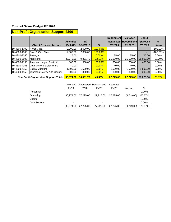# **Non-Profit Organization Support 4300**

|              |                                                   |                |                          |               | <b>Department</b> | <b>Manager</b>               | <b>Board</b>    |             |
|--------------|---------------------------------------------------|----------------|--------------------------|---------------|-------------------|------------------------------|-----------------|-------------|
|              |                                                   | <b>Amended</b> | <b>YTD</b>               |               |                   | <b>Requested   Recommend</b> | <b>Approved</b> | $\%$        |
|              | <b>Object Expense Account</b>                     | FY 2019        | 3/31/2019                | $\frac{9}{6}$ | <b>FY 2020</b>    | FY 2020                      | FY 2020         | Change      |
| 10-4300-1700 | Harbor, Inc.                                      | 2.000.00       | 2.000.00                 | 100.00%       |                   |                              | -               | $-100.00\%$ |
| 10-4300-1800 | Boys & Girls Club                                 | 2,000.00       | 2,000.00                 | 100.00%       |                   |                              | -               | $-100.00\%$ |
| 10-4300-3250 | Postage                                           | 25.00          |                          | 0.00%         | 25.00             | 25.00                        | 25.00           | $0.00\%$    |
| 10-4300-3800 | Marketing                                         | 30,749.00      | 9.871.70                 | 32.10%        | 25,000.00         | 25,000.00                    | 25,000.00       | $-18.70%$   |
| 10-4300-4150 | American Legion Post 141                          | 360.00         | 360.00                   | 100.00%       | 360.00            | 360.00                       | 400.00          | $0.00\%$    |
| 10-4300-4151 | Veterans of Foreign Wars                          | 40.00          | $\overline{\phantom{a}}$ | 0.00%         | 40.00             | 40.00                        | -               | $0.00\%$    |
| 10-4300-4152 | Selma Museum                                      | 500.00 ا       | 1,500.00                 | 0.00%         | 1,500.00          | 1,500.00                     | 1,500.00        | 0.00%       |
| 10-4300-4153 | Johnston County Arts Council                      | 300.00         | 300.00                   | 0.00%         | 300.00            | 300.00                       | 300.00          | $0.00\%$    |
|              | New Brafit Organization Crops of Tatala 00.074.00 |                | 10.001.70                | 10.001        | 27.225.22         | <b>AT AAE AA</b>             | 27.225.22       | 00.2201     |

**Non-Profit Organization Support Totals 36,974.00 16,031.70 43.36% 27,225.00 27,225.00 27,225.00** -26.37%

|              | Amended                  |             | Requested Recommend      | Approved                 |                          |           |
|--------------|--------------------------|-------------|--------------------------|--------------------------|--------------------------|-----------|
|              | <b>FY19</b>              | <b>FY20</b> | <b>FY20</b>              | FY20                     | Variance                 | %         |
| Personnel    | $\overline{\phantom{0}}$ |             | $\overline{\phantom{0}}$ | -                        | $\overline{\phantom{0}}$ | $0.00\%$  |
| Operating    | 36.974.00                | 27.225.00   | 27.225.00                | 27,225,00                | (9,749.00)               | $-26.37%$ |
| Capital      | $\overline{\phantom{0}}$ |             | $\overline{\phantom{0}}$ | -                        | ۰                        | $0.00\%$  |
| Debt Service | $\overline{\phantom{0}}$ |             | ٠                        | $\overline{\phantom{0}}$ | ۰                        | $0.00\%$  |
|              | 36,974.00                | 27.225.00   | 27.225.00                | 27,225,00                | (9,749.00)               | $-26.37%$ |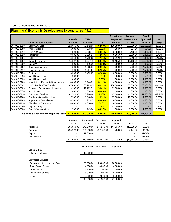## **Planning & Economic Development Expenditures 4910**

|              |                                                   |                |            |         | <b>Department</b> | <b>Manager</b> | <b>Board</b>    |           |
|--------------|---------------------------------------------------|----------------|------------|---------|-------------------|----------------|-----------------|-----------|
|              |                                                   | <b>Amended</b> | <b>YTD</b> |         | <b>Requested</b>  | Recommend      | <b>Approved</b> | %         |
|              | <b>Object Expense Account</b>                     | FY 2019        | 3/31/2019  | $\%$    | <b>FY2020</b>     | FY 2020        | FY 2020         | Change    |
| 10-4910-1210 | Salary & Wages                                    | 122.645.00     | 77,142.83  | 62.90%  | 109,650.00        | 109,650.00     | 109,650.00      | $-10.60%$ |
| 10-4910-1250 | Phone Stipend                                     | 1,080.00       | 373.66     | 0.00%   | 584.00            | 584.00         | 584.00          | $-45.93%$ |
| 10-4910-1810 | FICA & Medicare                                   | 9,293.00       | 5,858.77   | 63.04%  | 8,433.00          | 8,433.00       | 8,433.00        | $-9.25%$  |
| 10-4910-1820 | Retirement                                        | 9,331.00       | 3,925.24   | 42.07%  | 9,866.00          | 9,866.00       | 9,866.00        | 5.73%     |
| 10-4910-1821 | 401k                                              | 3,613.00       | 1,720.05   | 47.61%  | 5,512.00          | 5,512.00       | 3,308.00        | 52.56%    |
| 10-4910-1830 | Group Insurance                                   | 15,897.00      | 6,277.70   | 39.49%  | 12,195.00         | 12,195.00      | 12,195.00       | $-23.29%$ |
| 10-4910-2590 | Gasoline                                          | 800.00         | 146.20     | 18.28%  | 800.00            | 800.00         | 800.00          | 0.00%     |
| 10-4910-2600 | Supplies & Materials                              | 4,500.00       | 1,305.56   | 29.01%  | 4,500.00          | 4,500.00       | 4,500.00        | 0.00%     |
| 10-4910-3110 | Travel & Training                                 | 4,000.00       | 1,294.01   | 32.35%  | 4,500.00          | 4,500.00       | 4,500.00        | 12.50%    |
| 10-4910-3250 | Postage                                           | 3,500.00       | 1,472.07   | 42.06%  | 3,500.00          | 3,500.00       | 3,500.00        | 0.00%     |
| 10-4910-3520 | Maint/Repair - Equip                              | 500.00         |            | 0.00%   | 500.00            | 500.00         | 500.00          | 0.00%     |
| 10-4910-3530 | Maint/Repair - Vehicle                            | 1,000.00       |            | 0.00%   | 1,000.00          | 1.000.00       | 1,000.00        | 0.00%     |
| 10-4910-3700 | Advertising - Economic Development                | 4,000.00       | 1,244.89   | 31.12%  | 4,000.00          | 4,000.00       | 4,000.00        | 0.00%     |
| 10-4910-3802 | Jo Co Tourism Tax Transfer                        | 107,000.00     | 85,723.05  | 80.12%  | 150,000.00        | 150,000.00     | 150,000.00      | 40.19%    |
| 10-4910-3803 | Economic Development Incentive                    | 19,300.00      | 19,262.71  | 99.81%  | 19,300.00         | 19,300.00      | 19,300.00       | 0.00%     |
| 10-4910-3850 | <b>Arbor Project</b>                              | 600.00         | 534.00     | 89.00%  | 600.00            | 600.00         | 600.00          | 0.00%     |
| 10-4910-3990 | <b>Contracted Services</b>                        | 82,523.00      | 5,926.48   | 7.18%   | 45,000.00         | 41,500.00      | 41,500.00       | $-49.71%$ |
| 10-4910-4900 | <b>Condemnation &amp; Demolition</b>              | 17,500.00      | 1,840.00   | 10.51%  | 17,500.00         | 17,500.00      | 17,500.00       | 0.00%     |
| 10-4910-4903 | Appearance Commission                             | 4,500.00       | 1,939.27   | 43.09%  | 4,500.00          | 4,500.00       | 4,500.00        | 0.00%     |
| 10-4910-4910 | <b>Chamber of Commerce</b>                        | 4,000.00       | 4,000.00   | 100.00% | 4,000.00          | 4,000.00       | 4,000.00        | 0.00%     |
| 10-4910-5000 | Capital Outlay                                    |                |            | #DIV/0! | 12,000.00         |                |                 | #DIV/0!   |
| 10-4910-5300 | Dues & Subscriptions                              | 1,500.00       | 949.00     | 63.27%  | 1,500.00          | 1,500.00       | 1,500.00        | 0.00%     |
|              | Planning & Economic Development Totals 417,082.00 |                | 220,935.49 | 52.97%  | 419,440.00        | 403.940.00     | 401,736.00      | $-3.15%$  |

|                             | Amended     | Requested   | Recommend   | Approved    |              |          |
|-----------------------------|-------------|-------------|-------------|-------------|--------------|----------|
|                             | <b>FY19</b> | <b>FY20</b> | <b>FY20</b> | <b>FY20</b> | Variance     | %        |
| Personnel                   | 161,859.00  | 146,240.00  | 146,240.00  | 144,036.00  | (15,619.00)  | $-9.65%$ |
| Operating                   | 255,223.00  | 261,200.00  | 257,700.00  | 257,700.00  | 2,477.00     | 0.97%    |
| Capital                     |             | 12,000.00   |             |             |              | #DIV/0!  |
| Debt Service                |             |             |             |             | ٠            | #DIV/0!  |
|                             | 417,082.00  | 419,440.00  | 403,940.00  | 401,736.00  | (13, 142.00) | $-3.15%$ |
|                             |             |             |             |             |              |          |
|                             |             | Requested   | Recommend   | Approved    |              |          |
| Capital Outlay              |             |             |             |             |              |          |
| <b>Planning Software</b>    |             | 12,000.00   |             |             |              |          |
| <b>Contracted Services</b>  |             |             |             |             |              |          |
| Comprehensive Land Use Plan |             | 28,000.00   | 28,000.00   | 28,000.00   |              |          |
| Town Center Assoc           |             | 4,800.00    | 4,800.00    | 4,800.00    |              |          |
| Copier rental               |             | 1,200.00    | 1,200.00    | 1,200.00    |              |          |
| <b>Engineering Service</b>  |             | 6,000.00    | 5,000.00    | 5,000.00    |              |          |
| Other                       |             | 5,000.00    | 2,500.00    | 2,500.00    |              |          |
|                             |             | 45,000.00   | 41,500.00   | 41,500.00   |              |          |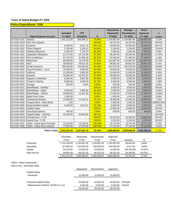**Police Expenditures 5100**

|              |                                    |                            |              |         | <b>Department</b> | <b>Manager</b>   | <b>Board</b> |             |
|--------------|------------------------------------|----------------------------|--------------|---------|-------------------|------------------|--------------|-------------|
|              |                                    | <b>Amended</b>             | <b>YTD</b>   |         | <b>Requested</b>  | <b>Recommend</b> | Approved     | %           |
|              | <b>Object Expense Account</b>      | FY 2019                    | 3/31/2019    | %       | <b>FY2020</b>     | FY 2020          | FY 2020      | Change      |
| 10-5100-1210 | <b>Salaries</b>                    | 1,181,212.00               | 838,384.12   | 70.98%  | 1,144,587.00      | 1,144,587.00     | 1,144,587.00 | $-3.10%$    |
| 10-5100-12XX | <b>Part Time Salaries</b>          |                            |              | #DIV/0! | 16,757.00         | 16,757.00        | 16,757.00    | #DIV/0!     |
| 10-5100-1220 | Overtime                           | 6,000.00                   | 9,012.70     | 150.21% | 10,000.00         | 10,000.00        | 10,000.00    | 66.67%      |
| 10-5100-1250 | <b>Phone Stipend</b>               | 2,700.00                   | 1,203.12     | 44.56%  | 2,160.00          | 2,160.00         | 2,160.00     | $-20.00%$   |
| 10-5100-1251 | <b>Clothing Allowance</b>          | 2,500.00                   | 1,730.70     | 69.23%  | 2,500.00          | 2,500.00         | 2,500.00     | 0.00%       |
| 10-5100-1301 | <b>Separation Allowance</b>        | 81,271.00                  | 54,731.06    | 67.34%  | 95,444.00         | 95,444.00        | 95,444.00    | 17.44%      |
| 10-5100-1810 | FICA & Medicare                    | 97,437.00                  | 67,595.28    | 69.37%  | 97,266.00         | 97,266.00        | 97,266.00    | $-0.18%$    |
| 10-5100-1820 | Retirement                         | 99,298.00                  | 70,570.82    | 71.07%  | 113,897.00        | 113,897.00       | 113,897.00   | 14.70%      |
| 10-5100-1821 | 401k                               | 58,560.00                  | 39,614.18    | 67.65%  | 58,801.00         | 58,801.00        | 58,801.00    | 0.41%       |
| 10-5100-1830 | Group Insurance                    | 186,185.00                 | 125,363.55   | 67.33%  | 222,675.00        | 222,675.00       | 222,675.00   | 19.60%      |
| 10-5100-2000 | Drug Prevention - Local            | 10,000.00                  | 6,000.00     | 60.00%  | 10,000.00         | 10,000.00        | 10,000.00    | 0.00%       |
| 10-5100-2120 | Uniforms                           | 11,500.00                  | 5,693.33     | 49.51%  | 11,000.00         | 11,000.00        | 11,000.00    | $-4.35%$    |
| 10-5100-2590 | Gasoline                           | 45,000.00                  | 25,870.23    | 57.49%  | 43,000.00         | 43,000.00        | 43,000.00    | $-4.44%$    |
| 10-5100-2600 | Supplies & Materials               | 6,000.00                   | 3,957.89     | 65.96%  | 6,000.00          | 6,000.00         | 6,000.00     | 0.00%       |
| 10-5100-3110 | Travel & Training                  | 6,500.00                   | 1,540.53     | 23.70%  | 6,000.00          | 6,000.00         | 6,000.00     | $-7.69%$    |
| 10-5100-3250 | Postage                            | 200.00                     | 19.83        | 9.92%   | 200.00            | 200.00           | 200.00       | 0.00%       |
| 10-5100-3510 | Maint/Repair - Building            |                            |              | #DIV/0! | 4,500.00          | 4,500.00         | 4,500.00     | #DIV/0!     |
| 10-5100-3520 | Maint/Repair - Equip               | 5,500.00                   | 1,999.46     | 36.35%  | 5,000.00          | 5,000.00         | 5,000.00     | $-9.09%$    |
| 10-5100-3530 | Maint/Repair - Vehicle             | 20,082.00                  | 11,207.93    | 55.81%  | 17,500.00         | 17,500.00        | 17,500.00    | $-12.86%$   |
| 10-5100-3601 | <b>Bullet-Proof Vests</b>          | 1,500.00                   |              | 0.00%   | 1,500.00          | 1,500.00         | 1,500.00     | 0.00%       |
| 10-5100-3990 | <b>Contracted Services</b>         | 14,000.00                  | 11,102.91    | 79.31%  | 15,000.00         | 15,000.00        | 15,000.00    | 7.14%       |
| 10-5100-4190 | Property Rent - West Street        | 1.00                       |              | 0.00%   | 4,400.00          | 4,400.00         | 4,400.00     | 439900.00%  |
| 10-5100-4990 | Equipment/Not Capital              | 6,400.00                   | 1,611.21     | 25.18%  | 6,000.00          | 6,000.00         | 6,000.00     | $-6.25%$    |
| 10-5100-5000 | <b>Capital Outlay</b>              |                            |              | #DIV/0! | 12,000.00         | 12,000.00        | 12,000.00    | #DIV/0!     |
| 10-5100-5300 | <b>Dues/Subscriptions</b>          | 400.00                     |              | 0.00%   | 400.00            | 400.00           | 400.00       | 0.00%       |
| 10-5100-5400 | Capital Outlay - Vehicles          | 40,100.00                  | 39,502.85    | 98.51%  |                   |                  |              | $-100.00\%$ |
| 10-5100-XXXX | Principal Due - FY20               |                            |              | #DIV/0! | 24,935.00         | 24,935.00        | 24,935.00    | #DIV/0!     |
| 10-5100-XXXX | Interest Due - FY20                |                            |              | #DIV/0! | 3,315.00          | 3,315.00         | 3,315.00     | #DIV/0!     |
| 10-5100-7507 | USDA - Police Reno Principal       | 13,231.00                  | 13,230.62    | 100.00% | 13,727.00         | 13,727.00        | 13,727.00    | 3.75%       |
| 10-5100-7508 | <b>USDA - Police Reno Interest</b> | 17,620.00                  | 17,619.38    | 100.00% | 17,124.00         | 17,124.00        | 17,124.00    | $-2.81%$    |
|              |                                    | Police Totals 1,913,197.00 | 1,347,561.70 | 70.44%  | 1,965,688.00      | 1,965,688.00     | 1,965,688.00 | 2.74%       |

|              | Amended<br><b>FY19</b> | Requested<br>FY20 | Recommend<br>FY20 | Approved<br>FY20 | Variance     | %          |
|--------------|------------------------|-------------------|-------------------|------------------|--------------|------------|
| Personnel    | 1.715.163.00           | 1.764.087.00      | 1.764.087.00      | 1.764.087.00     | 48.924.00    | 2.85%      |
| Operating    | 127.083.00             | 130.500.00        | 130.500.00        | 130.500.00       | 3.417.00     | 2.69%      |
|              |                        |                   |                   |                  |              |            |
| Capital      | 40.100.00              | 12.000.00         | 12.000.00         | 12.000.00        | (28, 100.00) | $-70.07\%$ |
| Debt Service | 30.851.00              | 59.101.00         | 59.101.00         | 59.101.00        | 28.250.00    | 91.57%     |
|              | 1.913.197.00           | .965.688.00       | .965.688.00       | 1.965.688.00     | 52.491.00    | 2.74%      |

USDA - Police Department Paid in Full - December 2040

|                                       | Requested | Recommend | Approved  |           |
|---------------------------------------|-----------|-----------|-----------|-----------|
| Capital Outlay                        |           |           |           |           |
| Generator                             | 12.000.00 | 12.000.00 | 12,000.00 |           |
|                                       |           |           |           |           |
| <b>Financed Capital Outlay</b>        | 24.935.00 | 24.935.00 | 24,935.00 | Principal |
| Replacement Vehicles 78,000 for 3 yrs | 3.315.00  | 3.315.00  | 3.315.00  | Interest  |
|                                       | 28,250.00 | 28,250.00 | 28,250.00 |           |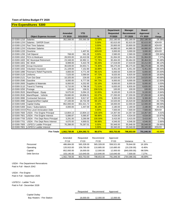#### **Fire Expenditures 5300**

|              |                                       |                |              |         | <b>Department</b> | <b>Manager</b> | <b>Board</b> |           |
|--------------|---------------------------------------|----------------|--------------|---------|-------------------|----------------|--------------|-----------|
|              |                                       | <b>Amended</b> | <b>YTD</b>   |         | <b>Requested</b>  | Recommend      | Approved     | $\%$      |
|              | <b>Object Expense Account</b>         | FY 2019        | 3/31/2019    | %       | <b>FY2020</b>     | FY 2020        | FY 2020      | Change    |
| 10-5300-1210 | Salaries                              | 352,088.00     | 255,560.39   | 72.58%  | 252,180.00        | 252,180.00     | 252,180.00   | $-28.38%$ |
| 10-5300-12XX | Salaries - SAFER Grant                |                |              | 0.00%   | 82,615.00         | 82,615.00      | 82,615.00    | #DIV/0!   |
| 10-5300-12XX | <b>Part Time Salaries</b>             |                |              | 0.00%   | 20,800.00         | 20,800.00      | 20,800.00    | #DIV/0!   |
| 10-5300-12XX | <b>Volunteer Salaries</b>             |                |              | 0.00%   | 44,880.00         | 44,880.00      | 44,880.00    | #DIV/0!   |
| 10-5300-1220 | Overtime                              |                | 1,407.91     | #DIV/0! | 3,000.00          | 3,000.00       | 3,000.00     | #DIV/0!   |
| 10-5300-1250 | Cell Stipend                          | 768.00         | 561.26       | 0.00%   | 2,580.00          | 2,580.00       | 2,580.00     | 235.94%   |
| 10-5300-1810 | <b>FICA &amp; Medicare</b>            | 28,933.00      | 19,410.58    | 67.09%  | 31,064.00         | 31,064.00      | 31,064.00    | 7.37%     |
| 10-5300-1820 | <b>NC Municipal Retirement</b>        | 23,348.00      | 16,992.11    | 72.78%  | 30,464.00         | 30,464.00      | 30,464.00    | 30.48%    |
| 10-5300-1821 | <b>NC 401K</b>                        | 8,999.00       | 5,422.78     | 60.26%  | 17,019.00         | 17,019.00      | 10,212.00    | 89.12%    |
| 10-5300-1830 | Group Insurance                       | 46,639.00      | 34,653.71    | 74.30%  | 68,275.00         | 68,275.00      | 68,275.00    | 46.39%    |
| 10-5300-1832 | Volunteer Insurance                   | 21,109.00      | 7,152.80     | 33.89%  | 6,451.00          | 6,451.00       | 6,451.00     | $-69.44%$ |
| 10-5300-1890 | <b>Fireman's Relief Payments</b>      | 4,800.00       | 4,771.49     | 99.41%  | 6,000.00          | 6,000.00       | 6,000.00     | 25.00%    |
| 10-5300-2120 | <b>Uniforms</b>                       | 7,525.00       | 3,590.64     | 47.72%  | 8,025.00          | 8,925.00       | 8,925.00     | 18.60%    |
| 10-5300-2121 | Turn Out Gear                         | 10,325.00      | 226.00       | 2.19%   | 14,525.00         | 14,525.00      | 14,525.00    | 40.68%    |
| 10-5300-2590 | Gasoline                              | 8,000.00       | 6,777.58     | 84.72%  | 9,000.00          | 9,000.00       | 9,000.00     | 12.50%    |
| 10-5300-2600 | Supplies & Materials                  | 8,000.00       | 4,252.65     | 53.16%  | 8,000.00          | 8,000.00       | 8,000.00     | 0.00%     |
| 10-5300-3110 | Travel & Training                     | 6,710.00       | 4,798.36     | 71.51%  | 6,835.00          | 6,835.00       | 6,835.00     | 1.86%     |
| 10-5300-3250 | Postage                               | 100.00         | 156.51       | 156.51% | 100.00            | 100.00         | 100.00       | 0.00%     |
| 10-5300-3520 | Maint/Repair - Equip                  | 9,675.00       | 5,094.15     | 52.65%  | 9,100.00          | 9,100.00       | 9,100.00     | $-5.94%$  |
| 10-5300-3530 | Maint/Repair - Vehicle                | 29,680.00      | 18,808.01    | 63.37%  | 27,200.00         | 27,200.00      | 27,200.00    | $-8.36%$  |
| 10-5300-3990 | <b>Contracted Services</b>            | 9,800.00       | 9,917.67     | 101.20% | 9,300.00          | 9,300.00       | 9,300.00     | $-5.10%$  |
| 10-5300-4990 | Equipment/Not Capital                 | 27,100.00      | 18,732.39    | 69.12%  | 15,520.00         | 15,520.00      | 15,520.00    | $-42.73%$ |
| 10-5300-5400 | <b>Capital Outlay</b>                 | 852,000.00     | 831,521.72   | 0.00%   | 18,000.00         | 12,000.00      | 12,000.00    | -98.59%   |
| 10-5300-5300 | Dues / Subscriptions                  | 4,000.00       | 1,447.00     | 36.18%  | 2,180.00          | 2,180.00       | 2,180.00     | $-45.50%$ |
| 10-5300-XXXX | Pine Level Annexation Debt            |                |              | 0.00%   | 7,500.00          | 7,500.00       | 7,500.00     | #DIV/0!   |
| 10-5300-7600 | USDA - Fire Engine Principal          | 13,804.13      | 13,804.13    | 100.00% | 14,357.00         | 14,357.00      | 14,357.00    | 4.01%     |
| 10-5300-7601 | USDA - Fire Engine Interest           | 5,086.87       | 5,085.87     | 99.98%  | 4,534.00          | 4,534.00       | 4,534.00     | $-10.87%$ |
| 10-5300-7700 | USDA - Fire Dept Reno Principal       | 3,291.00       | 3,290.99     | 100.00% | 3,415.00          | 3,415.00       | 3,415.00     | 3.77%     |
| 10-5300-7701 | <b>USDA - Fire Dept Reno Interest</b> | 4,670.00       | 4,669.01     | 99.98%  | 4,546.00          | 4,546.00       | 4,546.00     | $-2.66%$  |
| 10-5300-7800 | <b>LGFECU Ladder Principal</b>        | 76,288.00      | 76,287.01    | 0.00%   | 55,948.00         | 55,948.00      | 55,948.00    | $-26.66%$ |
| 10-5300-7801 | <b>LGFECU Ladder Interest</b>         |                |              | 0.00%   | 20,340.00         | 20,340.00      | 20,340.00    | #DIV/0!   |
|              | <b>Fire Totals</b>                    | 1,562,739.00   | 1.354.392.72 | 86.67%  | 803.753.00        | 798.653.00     | 791,846.00   | $-48.89%$ |

|              | Amended      | Requested  | Recommend  | Approved    |               |           |
|--------------|--------------|------------|------------|-------------|---------------|-----------|
|              | <b>FY19</b>  | FY20       | FY20       | <b>FY20</b> | Variance      | %         |
| Personnel    | 486,684.00   | 565.328.00 | 565.328.00 | 558.521.00  | 78.644.00     | 16.16%    |
| Operating    | 120.915.00   | 109.785.00 | 110.685.00 | 110.685.00  | (10, 230.00)  | $-8.46%$  |
| Capital      | 852,000.00   | 18.000.00  | 12.000.00  | 12.000.00   | (840,000.00)  | $-98.59%$ |
| Debt Service | 103.140.00   | 110.640.00 | 110.640.00 | 110.640.00  | 7.500.00      | 7.27%     |
|              | 1.562.739.00 | 803,753.00 | 798,653.00 | 791,846.00  | (764, 086.00) | $-48.89%$ |

USDA - Fire Department Renovations Paid in Full - March 2042

USDA - Fire Engine Paid in Full - September 2025

LGFECU - Ladder Truck Paid in Full - December 2028

|                            | Reauested | Recommend | Approved  |
|----------------------------|-----------|-----------|-----------|
| Capital Outlay             |           |           |           |
| Bay Heaters - Fire Station | 18.000.00 | 12.000.00 | 12.000.00 |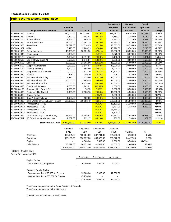## **Public Works Expenditures 5600**

|              |                                      |                          |                          |         | <b>Department</b> | <b>Manager</b>   | <b>Board</b> |           |
|--------------|--------------------------------------|--------------------------|--------------------------|---------|-------------------|------------------|--------------|-----------|
|              |                                      | <b>Amended</b>           | <b>YTD</b>               |         | <b>Requested</b>  | <b>Recommend</b> | Approved     | $\%$      |
|              | <b>Object Expense Account</b>        | FY 2019                  | 3/31/2019                | %       | <b>FY2020</b>     | FY 2020          | FY 2020      | Change    |
| 10-5600-1210 | Salaries                             | 280,042.00               | 163,239.81               | 58.29%  | 314,452.00        | 269,361.00       | 269,361.00   | $-3.81%$  |
| 10-5600-1220 | Overtime                             | 2.500.00                 | 2,402.94                 | 96.12%  | 3,150.00          | 3,150.00         | 3,150.00     | 26.00%    |
| 10-5600-1250 | <b>Phone Stipend</b>                 | 1,944.00                 | 965.15                   | 0.00%   | 2,322.00          | 2,322.00         | 2,322.00     | 19.44%    |
| 10-5600-1810 | FICA & Medicare                      | 21,763.00                | 12,862.75                | 59.10%  | 24,475.00         | 21,025.00        | 21,025.00    | $-3.39%$  |
| 10-5600-1820 | Retirement                           | 21,897.00                | 12,514.45                | 57.15%  | 28,633.00         | 24,598.00        | 24,598.00    | 12.34%    |
| 10-5600-1821 | 401k                                 | 8,476.00                 | 3,206.39                 | 37.83%  | 15,996.00         | 13,742.00        | 8,246.00     | $-2.71%$  |
| 10-5600-1830 | Group Insurance                      | 49,039.00                | 30,651.90                | 62.51%  | 70,856.00         | 63,093.00        | 63,093.00    | 28.66%    |
| 10-5600-1940 | Engineering                          | 2,000.00                 |                          | 0.00%   | 3,276.00          | 3,276.00         | 3,276.00     | 63.80%    |
| 10-5600-2120 | Uniforms                             | 4,600.00                 | 3,417.01                 | 74.28%  | 3,196.00          | 3,871.00         | 3,871.00     | $-15.85%$ |
| 10-5600-2512 | Non-Highway Diesel #2                | 3,500.00                 | 2,043.67                 | 58.39%  | 3,500.00          | 3,500.00         | 3,500.00     | 0.00%     |
| 10-5600-2590 | Gasoline                             | 13,000.00                | 13,861.59                | 106.63% | 15,000.00         | 15,000.00        | 15,000.00    | 15.38%    |
| 10-5600-2600 | Supplies & Materials                 | 9,600.00                 | 2,546.54                 | 26.53%  | 10,000.00         | 10,000.00        | 10,000.00    | 4.17%     |
| 10-5600-3110 | Travel & Training                    | 1,500.00                 | 458.50                   | 30.57%  | 4,000.00          | 4,000.00         | 4,000.00     | 166.67%   |
| 10-5600-3200 | Shop Supplies & Materials            | 9,000.00                 | 3,633.30                 | 40.37%  | 12,500.00         | 12,500.00        | 12,500.00    | 38.89%    |
| 10-5600-3250 | Postage                              | 425.00                   | 149.70                   | 35.22%  | 425.00            | 425.00           | 425.00       | 0.00%     |
| 10-5600-3510 | Maint/Repair - Building              | 3,475.00                 | 3,633.60                 | 104.56% | 12,000.00         | 10,000.00        | 10,000.00    | 187.77%   |
| 10-5600-3520 | Maint/Repair - Equip                 | 10,000.00                | 3,969.09                 | 39.69%  | 12,000.00         | 12,000.00        | 12,000.00    | 20.00%    |
| 10-5600-3530 | Maint/Repair - Vehicle               | 5,000.00                 | 4,479.64                 | 89.59%  | 20,000.00         | 20,000.00        | 20,000.00    | 300.00%   |
| 10-5600-3990 | <b>Contracted Services</b>           | 1,500.00                 | 1,742.81                 | 116.19% | 1,000.00          | 1,000.00         | 1,000.00     | $-33.33%$ |
| 10-5600-4100 | Drainage (Non-Powell Bill)           | 1,500.00                 | 76.75                    | 5.12%   | 3.500.00          | 3,500.00         | 3,500.00     | 133.33%   |
| 10-5600-4990 | Equipment/Not Capital                | 4,000.00                 | 2,983.13                 | 74.58%  | 10,000.00         | 4,500.00         | 4,500.00     | 12.50%    |
| 10-5600-5000 | Capital Outlay                       |                          |                          | #DIV/0! | 6,500.00          | 6,500.00         | 6,500.00     | #DIV/0!   |
| 10-5600-5300 | Dues & Subscriptions                 | 1,000.00                 | 109.00                   | 10.90%  | 1,000.00          | 1,000.00         | 1,000.00     | 0.00%     |
| 10-5600-6990 | Solid Waste Services/Landfill Dispos | 585,000.00               | 389,083.48               | 66.51%  | 585,000.00        | 585,000.00       | 585,000.00   | 0.00%     |
| 10-5600-XXXX | Principal Due - FY20                 |                          |                          | #DIV/0! | 11,193.00         | 11,193.00        | 11,193.00    | #DIV/0!   |
| 10-5600-XXXX | Interest Due - FY20                  |                          | $\overline{a}$           | #DIV/0! | 1,487.00          | 1,487.00         | 1,487.00     | #DIV/0!   |
| 10-5600-XXXX | Principal Due - FY20                 | $\overline{\phantom{a}}$ | $\overline{\phantom{a}}$ | #DIV/0! | 36,750.00         |                  |              | #DIV/0!   |
| 10-5600-XXXX | Interest Due - FY20                  |                          |                          | #DIV/0! | 8,500.00          |                  |              | #DIV/0!   |
| 10-5600-7516 | KS Bank Prinicipal - Brush Haug      | 27,555.00                | 18,348.63                | 66.59%  | 27,983.00         | 27,983.00        | 27,983.00    | 1.55%     |
| 10-5600-7517 | KS Bank Interest - Brush Haug        | 1,367.00                 | 932.17                   | 68.19%  | 939.00            | 939.00           | 939.00       | $-31.31%$ |
|              | <b>Public Works Totals</b>           | 1.069.683.00             | 677.312.00               | 63.32%  | 1,249,633.00      | 1,134,965.00     | 1,129,469.00 | 5.59%     |

|              | Amended      | Requested    | Recommend  | Approved     |           |         |
|--------------|--------------|--------------|------------|--------------|-----------|---------|
|              | <b>FY19</b>  | <b>FY20</b>  | FY20       | <b>FY20</b>  | Variance  | %       |
| Personnel    | 385.661.00   | 459.884.00   | 397.291.00 | 391.795.00   | 6.134.00  | 1.59%   |
| Operating    | 655.100.00   | 696.397.00   | 689.572.00 | 689.572.00   | 34.472.00 | 5.26%   |
| Capital      | -            | 6.500.00     | 6.500.00   | 6.500.00     | 6.500.00  | #DIV/0! |
| Debt Service | 28.922.00    | 86.852.00    | 41.602.00  | 41.602.00    | 12.680.00 | 43.84%  |
|              | 1.069.683.00 | 1.249.633.00 | ########## | 1.129.469.00 | 59,786.00 | 5.59%   |

#### KS Bank -Knuckle Boom

Paid in Full - January 2022

|                                       | Requested | Recommend | Approved  |
|---------------------------------------|-----------|-----------|-----------|
| Capital Outlay                        |           |           |           |
| <b>Commerical Air Compressor</b>      | 6,500.00  | 6,500.00  | 6,500.00  |
|                                       |           |           |           |
| <b>Financed Capital Outlay</b>        |           |           |           |
| Replacement Truck 35,000 for 3 years  | 12,680.00 | 12,680.00 | 12,680.00 |
| Vacuum Leaf Truck 200,000 for 5 years | 45,250.00 |           |           |
|                                       | 57,930.00 | 12,680.00 | 12,680.00 |
|                                       |           |           |           |

Transferred one position out to Pubic Facilities & Grounds Transferred one position in from Cemetery

Waste Industries Contract - 1.2% increase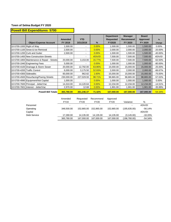## **Powell Bill Expenditures 5700**

|                           |                                             |                |            |         | <b>Department</b> | <b>Manager</b> | <b>Board</b>    |            |
|---------------------------|---------------------------------------------|----------------|------------|---------|-------------------|----------------|-----------------|------------|
|                           |                                             | <b>Amended</b> | <b>YTD</b> |         | <b>Requested</b>  | Recommend      | <b>Approved</b> | $\%$       |
|                           | <b>Object Expense Account</b>               | FY 2019        | 3/31/2019  | %       | <b>FY2020</b>     | FY 2020        | FY 2020         | Change     |
| 10-5700-1000 Right of Way |                                             | 1,500.00       | ۰          | 0.00%   | 1.500.00          | 1,500.00       | 1,500.00        | $0.00\%$   |
|                           | 10-5700-1100 Snow & Ice Removal             | 2,500.00       | $\sim$     | 0.00%   | 2,000.00          | 2,000.00       | 2,000.00        | $-20.00%$  |
|                           | 10-5700-1200 Curb and Gutter                | 2,500.00       | $\sim$     | 0.00%   | 1,500.00          | 1,500.00       | 1,500.00        | $-40.00\%$ |
|                           | 10-5700-1400 New Construction-Streets       |                | ۰          | #DIV/0! | 7,500.00          | 7,500.00       | 7,500.00        | #DIV/0!    |
|                           | 10-5700-1800 Maintenance & Repair - Streets | 20,000.00      | 3,153.00   | 15.77%  | 7,500.00          | 7,500.00       | 7,500.00        | $-62.50%$  |
|                           | 10-5700-1940 Engineering Fees               | 5,000.00       | ۰          | 0.00%   | 1,000.00          | 1,000.00       | 1,000.00        | $-80.00\%$ |
|                           | 10-5700-4100 Drainage & Storm Sewer         | 20,000.00      | 12,792.00  | 63.96%  | 15,000.00         | 15,000.00      | 15,000.00       | $-25.00%$  |
|                           | 10-5700-4200 Traffic Control                | 6,000.00       | 3,175.50   | 52.93%  | 2,000.00          | 2,000.00       | 2,000.00        | $-66.67%$  |
| 10-5700-4300 Sidewalks    |                                             | 60,000.00      | 962.62     | 1.60%   | 15,000.00         | 15,000.00      | 15,000.00       | $-75.00%$  |
|                           | 10-5700-4500 Resurfacing/Paving Streets     | 230,000.00     | 227,029.93 | 98.71%  | 98,865.00         | 98,865.00      | 98,865.00       | $-57.02%$  |
|                           | 10-5700-4990 Equipment/Not Capital          | 1,000.00       |            | 0.00%   | 1,000.00          | 1,000.00       | 1,000.00        | $0.00\%$   |
|                           | 10-5700-7600 Principal - Jetter/Vac         | 14,310.00      | 14,120.64  | 0.00%   | 12,234.00         | 12,234.00      | 12,234.00       | $-14.51%$  |
|                           | 10-5700-7601 Interest - Jetter/Vac          | 2,970.00       | 12.68      | 0.00%   | 1,901.00          | 1,901.00       | 1,901.00        | $-35.99%$  |
|                           | <b>Powell Bill Totals</b>                   | 365.780.00     | 261,246.37 | 71.42%  | 167,000.00        | 167,000.00     | 167,000.00      | $-54.34%$  |

|              | Amended        | Requested   | Recommend   | Approved       |              |           |
|--------------|----------------|-------------|-------------|----------------|--------------|-----------|
|              | <b>FY19</b>    | <b>FY20</b> | <b>FY20</b> | FY20           | Variance     | %         |
| Personnel    | $\blacksquare$ |             |             | $\blacksquare$ |              | #DIV/0!   |
| Operating    | 348.500.00     | 152.865.00  | 152.865.00  | 152.865.00     | (195.635.00) | $-56.14%$ |
| Capital      | $\blacksquare$ |             |             |                |              | #DIV/0!   |
| Debt Service | 17.280.00      | 14.135.00   | 14.135.00   | 14,135.00      | (3, 145.00)  | $-18.20%$ |
|              | 365,780.00     | 167.000.00  | 167.000.00  | 167,000.00     | (198,780.00) | $-54.34%$ |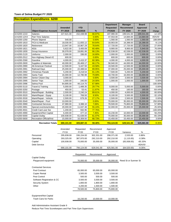## **Recreation Expenditures 6200**

|              |                               |                |            |        | <b>Department</b> | <b>Manager</b>   | <b>Board</b>    |             |
|--------------|-------------------------------|----------------|------------|--------|-------------------|------------------|-----------------|-------------|
|              |                               | <b>Amended</b> | <b>YTD</b> |        | <b>Requested</b>  | <b>Recommend</b> | <b>Approved</b> | %           |
|              | <b>Object Expense Account</b> | FY 2019        | 3/31/2019  | %      | <b>FY2020</b>     | FY 2020          | FY 2020         | Change      |
| 10-6200-1210 | <b>Salaries</b>               | 227,621.00     | 152,438.98 | 66.97% | 197,980.00        | 199,541.00       | 199,541.00      | $-12.34%$   |
| 10-6200-12XX | <b>Part Time Salaries</b>     |                |            | 0.00%  | 47,553.00         | 14,684.00        | 14,684.00       | #DIV/0!     |
| 10-6200-1250 | Phone Stipend                 | 540.00         |            | 0.00%  | 1,560.00          | 1,560.00         | 1,560.00        | 188.89%     |
| 10-6200-1810 | FICA & Medicare               | 18,030.00      | 11,655.12  | 64.64% | 18,903.00         | 16,388.00        | 16,388.00       | $-9.11%$    |
| 10-6200-1820 | Retirement                    | 13,947.00      | 10,967.29  | 78.64% | 17,720.00         | 17,720.00        | 17,720.00       | 27.05%      |
| 10-6200-1821 | 401k                          | 5,622.00       | 3,400.09   | 60.48% | 9,900.00          | 9,900.00         | 5,940.00        | 76.09%      |
| 10-6200-1830 | Group Insurance               | 30,078.00      | 19,891.06  | 66.13% | 42,538.00         | 42,538.00        | 42,538.00       | 41.43%      |
| 10-6200-2120 | <b>Uniforms</b>               | 2,000.00       | 336.00     | 16.80% | 2,000.00          | 2,000.00         | 2,000.00        | 0.00%       |
| 10-6200-2512 | Non-Highway Diesel #2         | 600.00         |            | 0.00%  | 600.00            | 600.00           | 600.00          | 0.00%       |
| 10-6200-2590 | Gasoline                      | 4,000.00       | 2,415.37   | 60.38% | 4,000.00          | 4,000.00         | 4,000.00        | 0.00%       |
| 10-6200-2600 | Supplies & Materials          | 40,000.00      | 26,469.17  | 66.17% | 58,940.00         | 44,000.00        | 44,000.00       | 10.00%      |
| 10-6200-2990 | <b>All-American Festival</b>  | 12,500.00      | 5,447.50   | 43.58% | 19,500.00         | 12,500.00        | 12,500.00       | 0.00%       |
| 10-6200-2991 | <b>Railroad Days</b>          | 25,000.00      | 22,488.64  | 89.95% | 37,000.00         | 25,000.00        | 25,000.00       | 0.00%       |
| 10-6200-2992 | <b>Christmas Parade</b>       | 5,200.00       | 4,218.54   | 81.13% | 7,500.00          | 5,200.00         | 5,200.00        | 0.00%       |
| 10-6200-2993 | Santa Train                   | 16,000.00      | 12,780.98  | 79.88% | 18,700.00         | 16,000.00        | 16,000.00       | 0.00%       |
| 10-6200-2994 | Senior Citizen Day            | 3,000.00       |            | 0.00%  | 3,500.00          | 3,500.00         | 3,500.00        | 16.67%      |
| 10-6200-2995 | <b>Senior Trips</b>           | 1,000.00       | 240.00     | 24.00% | 1,000.00          | 1,000.00         | 1,000.00        | 0.00%       |
| 10-6200-2996 | Selma Pool                    | 64,895.00      | 44,114.70  | 67.98% |                   |                  |                 | $-100.00\%$ |
| 10-6200-3110 | <b>Travel &amp; Training</b>  | 5,000.00       | 1,488.35   | 29.77% | 8,000.00          | 5,000.00         | 5,000.00        | 0.00%       |
| 10-6200-3250 | Postage                       | 450.00         | 53.41      | 11.87% | 450.00            | 160.00           | 160.00          | $-64.44%$   |
| 10-6200-3510 | Maint/Repair - Building       | 2,500.00       | 2.240.24   | 89.61% | 4,000.00          | 4,000.00         | 4,000.00        | 60.00%      |
| 10-6200-3520 | Maint/Repair - Equip          | 8,100.00       | 769.50     | 9.50%  | 8,100.00          | 5,500.00         | 5,500.00        | $-32.10%$   |
| 10-6200-3530 | Maint/Repair - Vehicle        | 2,500.00       | 679.26     | 27.17% | 2,500.00          | 2,500.00         | 2,500.00        | 0.00%       |
| 10-6200-3540 | Maint/Repair - Pool           | 10,000.00      |            | 0.00%  | 70,000.00         | 35,000.00        | 35,000.00       | 250.00%     |
| 10-6200-3990 | <b>Contracted Services</b>    | 47,980.00      | 3,388.10   | 7.06%  | 78,500.00         | 75,800.00        | 75,800.00       | 57.98%      |
| 10-6200-3991 | Special events/activities     | 20,000.00      | 11,047.48  | 55.24% | 32,000.00         | 25,000.00        | 25,000.00       | 25.00%      |
| 10-6200-4501 | Credit Card user fee          | 1,200.00       | 932.95     | 77.75% |                   |                  |                 | $-100.00\%$ |
| 10-6200-4990 | Equipment/Not Capital         | 6,400.00       | 477.10     | 7.45%  | 16,230.00         | 10,000.00        | 10,000.00       | 56.25%      |
| 10-6200-5000 | Capital Outlay                | 100,938.00     | 61,638.00  | 61.07% | 70,000.00         | 35,000.00        | 35,000.00       | $-65.33%$   |
| 10-6200-5600 | Recreation-Official/Inst      | 15,000.00      | 10,309.50  | 68.73% | 15,450.00         | 15,450.00        | 15,450.00       | 3.00%       |
|              | <b>Recreation Totals</b>      | 690,101.00     | 409,887.33 | 59.40% | 794,124.00        | 629,541.00       | 625,581.00      | $-9.35%$    |

|                             | Amended     | Requested   | Recommend   | Approved    |                      |           |
|-----------------------------|-------------|-------------|-------------|-------------|----------------------|-----------|
|                             | <b>FY19</b> | <b>FY20</b> | <b>FY20</b> | <b>FY20</b> | Variance             | %         |
| Personnel                   | 295,838.00  | 336,154.00  | 302,331.00  | 298,371.00  | 2,533.00             | 0.86%     |
| Operating                   | 293,325.00  | 387,970.00  | 292,210.00  | 292,210.00  | (1, 115.00)          | $-0.38%$  |
| Capital                     | 100,938.00  | 70,000.00   | 35,000.00   | 35,000.00   | (65,938.00)          | $-65.33%$ |
| <b>Debt Service</b>         |             |             |             |             |                      | #DIV/0!   |
|                             | 690,101.00  | 794,124.00  | 629,541.00  | 625,581.00  | (64, 520.00)         | $-9.35%$  |
|                             |             |             |             |             |                      |           |
|                             |             | Requested   | Recommend   | Approved    |                      |           |
| Capital Outlay              |             |             |             |             |                      |           |
| Playground equipment        |             | 70,000.00   | 35,000.00   | 35,000.00   | Reed St or Sumner St |           |
|                             |             |             |             |             |                      |           |
| <b>Contracted Services</b>  |             |             |             |             |                      |           |
| Pool Contract               |             | 65,000.00   | 65,000.00   | 65,000.00   |                      |           |
| <b>Copier Rental</b>        |             | 3.500.00    | 3.500.00    | 3,500.00    |                      |           |
| Pest Control                |             | 500.00      | 500.00      | 500.00      |                      |           |
| Software Registration & CC  |             | 3,500.00    | 3.500.00    | 3,500.00    |                      |           |
| <b>Security System</b>      |             | 1,800.00    | 1,800.00    | 1,800.00    |                      |           |
| Other                       |             | 4,200.00    | 1,500.00    | 1,500.00    |                      |           |
|                             |             | 78,500.00   | 75,800.00   | 75,800.00   |                      |           |
|                             |             |             |             |             |                      |           |
| Equipment/Not Capital       |             |             |             |             |                      |           |
| <b>Trash Cans for Parks</b> |             | 16,230.00   | 10,000.00   | 10,000.00   |                      |           |

Add Administrative Assistant Grade 9

Reduce Part Time Scorekeepers and Part Time Gym Supervisors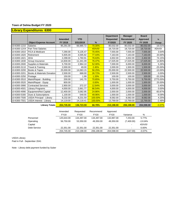## **Library Expenditures 6300**

|              |                                       |                |            |         | <b>Department</b> | <b>Manager</b>   | <b>Board</b>    |           |
|--------------|---------------------------------------|----------------|------------|---------|-------------------|------------------|-----------------|-----------|
|              |                                       | <b>Amended</b> | <b>YTD</b> |         | <b>Requested</b>  | <b>Recommend</b> | <b>Approved</b> | $\%$      |
|              | <b>Object Expense Account</b>         | FY 2019        | 3/31/2019  | $\%$    | <b>FY2020</b>     | FY 2020          | FY 2020         | Change    |
| 10-6300-1210 | <b>Salaries</b>                       | 95,291.00      | 66,985.72  | 70.30%  | 80,032.00         | 80,032.00        | 80,032.00       | $-16.01%$ |
| 10-6300-12XX | <b>Part Time Salaries</b>             |                |            | #DIV/0! | 18,720.00         | 18,720.00        | 18,720.00       | #DIV/0!   |
| 10-6300-1810 | <b>FICA &amp; Medicare</b>            | 7,290.00       | 5,135.47   | 70.45%  | 7,555.00          | 7,555.00         | 7,555.00        | 3.64%     |
| 10-6300-1820 | Retirement                            | 5,935.00       | 4,595.82   | 77.44%  | 7,163.00          | 7,163.00         | 7,163.00        | 20.69%    |
| 10-6300-1821 | 401k                                  | 2,298.00       | 1,760.91   | 76.63%  | 4,002.00          | 4,002.00         | 2,402.00        | 74.15%    |
| 10-6300-1830 | Group Insurance                       | 14,830.00      | 11,341.09  | 76.47%  | 17,025.00         | 17,025.00        | 17,025.00       | 14.80%    |
| 10-6300-2600 | Supplies & Materials                  | 5,700.00       | 2,964.10   | 52.00%  | 7,000.00          | 6,000.00         | 6,000.00        | 5.26%     |
| 10-6300-3110 | Travel & Training                     | 2,000.00       | 49.00      | 2.45%   | 2,000.00          | 1,500.00         | 1,500.00        | $-25.00%$ |
| 10-6300-3200 | Books & Tapes                         | 25,000.00      | 14,063.15  | 56.25%  | 25,000.00         | 22,500.00        | 22,500.00       | $-10.00%$ |
| 10-6300-3201 | <b>Books &amp; Materials Donation</b> | 2,500.00       | 668.00     | 26.72%  | 2,500.00          | 2,500.00         | 2,500.00        | 0.00%     |
| 10-6300-3250 | Postage                               | 150.00         | 1.99       | 1.33%   | 100.00            | 100.00           | 100.00          | $-33.33%$ |
| 10-6300-3510 | Maint/Repair - Building               | 200.00         | 141.70     | 70.85%  | 5,750.00          | 5,750.00         | 5,750.00        | 2775.00%  |
| 10-6300-3520 | Maint/Repair - Equip                  | 800.00         |            | 0.00%   | 1,000.00          | 1,000.00         | 1,000.00        | 25.00%    |
| 10-6300-3990 | <b>Contracted Services</b>            | 2,900.00       | 372.37     | 12.84%  | 3,000.00          | 3,000.00         | 3,000.00        | 3.45%     |
| 10-6300-4501 | <b>Library Programs</b>               | 4,000.00       | 2,661.77   | 66.54%  | 4,000.00          | 4,000.00         | 4,000.00        | 0.00%     |
| 10-6300-4990 | Equipment/Not Capital                 | 12,400.00      | 3,082.95   | 24.86%  | 2,000.00          | 2,000.00         | 2,000.00        | $-83.87%$ |
| 10-6300-5300 | Dues & Subscriptions                  | 1,100.00       | 549.55     | 49.96%  | 1,000.00          | 1,000.00         | 1,000.00        | $-9.09%$  |
| 10-6300-7500 | <b>USDA Principal - Library</b>       | 8,232.00       | 8,231.59   | 100.00% | 8,582.00          | 8,582.00         | 8,582.00        | 4.25%     |
| 10-6300-7501 | <b>USDA Interest - Library</b>        | 14,119.00      | 14,118.41  | 100.00% | 13,769.00         | 13,769.00        | 13,769.00       | $-2.48%$  |
|              | <b>Library Totals</b>                 | 204,745.00     | 136,723.59 | 66.78%  | 210,198.00        | 206,198.00       | 204,598.00      | $-0.07%$  |

|              | Amended<br><b>FY19</b>   | Requested<br><b>FY20</b> | Recommend<br><b>FY20</b> | Approved<br><b>FY20</b> | Variance                 | %         |
|--------------|--------------------------|--------------------------|--------------------------|-------------------------|--------------------------|-----------|
| Personnel    | 125,644.00               | 134,497.00               | 134,497.00               | 132,897.00              | 7.253.00                 | 5.77%     |
| Operating    | 56.750.00                | 53.350.00                | 49.350.00                | 49.350.00               | (7,400.00)               | $-13.04%$ |
| Capital      | $\overline{\phantom{a}}$ |                          | ۰                        |                         | $\overline{\phantom{a}}$ | #DIV/0!   |
| Debt Service | 22.351.00                | 22.351.00                | 22.351.00                | 22.351.00               | $\overline{\phantom{a}}$ | $0.00\%$  |
|              | 204.745.00               | 210,198.00               | 206,198.00               | 204.598.00              | (147.00)                 | $-0.07\%$ |

USDA Library Paid in Full - September 2041

Note - Library debt payment funded by Suber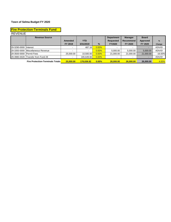#### **Fire Protection-Terminals Fund**

#### REVENUE

|                          | <b>Revenue Source</b>                   |           |                          |               | <b>Department</b> | <b>Manager</b>   | <b>Board</b>             |           |
|--------------------------|-----------------------------------------|-----------|--------------------------|---------------|-------------------|------------------|--------------------------|-----------|
|                          |                                         | Amended   | YTD.                     |               | <b>Requested</b>  | <b>Recommend</b> | Approved                 | %         |
|                          |                                         | FY 2019   | 3/31/2019                | $\frac{9}{6}$ | <b>FY2020</b>     | FY 2020          | FY 2020                  | Change    |
| 29-3290-0000 Interest    |                                         |           | 487.16                   | $0.00\%$      |                   |                  | $\overline{\phantom{0}}$ | #DIV/0!   |
|                          | 29-3350-0000 Miscellaneous Revenue      |           | $\overline{\phantom{a}}$ | 0.00%         | 5.000.00          | 5.000.00         | 5.000.00                 | #DIV/0!   |
| 29-3500-0000 Permit Fees |                                         | 25,000.00 | 10.500.00                | $0.00\%$      | 21.000.00         | 21.000.00        | 21,000.00                | $-16.00%$ |
| 29-3980-0028             | Transfer from Fund 28                   |           | 165.649.66               | $0.00\%$      |                   |                  |                          | #DIV/0!   |
|                          | <b>Fire Protection-Terminals Totals</b> | 25,000.00 | 176.636.82               | $0.00\%$      | 26,000,00         | 26.000.00        | 26,000,00                | 4.00%     |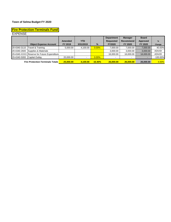## **Fire Protection-Terminals Fund**

EXPENSE

|                             | <b>Object Expense Account</b>               | Amended<br>FY 2019 | <b>YTD</b><br>3/31/2019 | %             | <b>Department</b><br><b>Requested</b><br><b>FY2020</b> | <b>Manager</b><br><b>Recommend</b><br>FY 2020 | <b>Board</b><br>Approved<br>FY 2020 | $\frac{9}{6}$ |
|-----------------------------|---------------------------------------------|--------------------|-------------------------|---------------|--------------------------------------------------------|-----------------------------------------------|-------------------------------------|---------------|
|                             |                                             |                    |                         |               |                                                        |                                               |                                     | Change        |
| 29-4340-3110                | Travel & Training                           | 5.000.00           | 4,100.00                | $0.00\%$      | 7,000.00                                               | 7.000.00                                      | 7,000.00                            | 40.00%        |
| 29-4340-2600                | Supplies & Materials                        |                    |                         |               | 3.000.00                                               | 3.000.00                                      | 3,000.00                            | #DIV/0!       |
|                             | 29-4340-XXXX Reserve for Future Expenditure |                    |                         |               | 16,000.00                                              | 16.000.00                                     | 16,000.00                           | #DIV/0!       |
| 29-4340-5000 Capital Outlay |                                             | 20.000.00          | $\sim$                  | $0.00\%$      |                                                        | $\overline{\phantom{0}}$                      | $\sim$                              | $-100.00\%$   |
|                             | <b>Fire Protection-Terminals Totals</b>     | 25,000.00          | 4.100.00                | <b>16.40%</b> | 26.000.00                                              | 26,000.00                                     | 26,000,00                           | 4.00%         |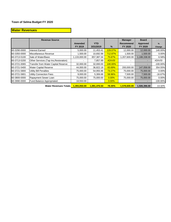## **Water Revenues**

|              | <b>Revenue Source</b>                 |              |              |               | <b>Manager</b>   | <b>Board</b>             |               |
|--------------|---------------------------------------|--------------|--------------|---------------|------------------|--------------------------|---------------|
|              |                                       | Amended      | <b>YTD</b>   |               | <b>Recommend</b> | <b>Approved</b>          | $\frac{9}{6}$ |
|              |                                       | FY 2019      | 3/31/2019    | $\%$          | FY 2020          | FY 2020                  | Change        |
| 60-3290-0000 | Interest Earned                       | 5,000.00     | 11,453.41    | 229.07%       | 12,000.00        | 12,000.00                | 140.00%       |
| 60-3350-0000 | Miscellaneous Revenue                 | 1,500.00     | 10,692.98    | 712.87%       | 1,500.00         | 1,500.00                 | 0.00%         |
| 60-3713-5100 | Sale of Water/Basic                   | 1,133,000.00 | 857,387.34   | 75.67%        | 1,207,600.00     | 1,188,338.00             | 6.58%         |
| 60-3713-5200 | Other Services (Tap Ins, Restoration) |              | 7,857.99     | #DIV/0!       |                  | $\sim$                   | #DIV/0!       |
| 60-3721-0065 | Transfer from Water Capital Reserve   | 32,000.00    | 32,000.00    | 100.00%       | $\blacksquare$   | -                        | $-100.00\%$   |
| 60-3721-5400 | <b>Water Capital Reserve</b>          | 44,000.00    | 36,822.18    | 83.69%        | 200,000.00       | 147,058.00               | 354.55%       |
| 60-3721-5800 | Utility Bill Penalties                | 75,000.00    | 54,955.96    | 73.27%        | 75,000.00        | 75,000.00                | 0.00%         |
| 60-3721-5801 | Utility Connection Fees               | 9,000.00     | 5,306.68     | 58.96%        | 7,500.00         | 7,500.00                 | $-16.67%$     |
| 60-3800-0000 | Rapayment Sewer Loan                  | 75,000.00    | 75,000.00    | 0.00%         | 75,000.00        | 75,000.00                | 0.00%         |
| 60-3990-0000 | Fund Balance Appropriated             | 18,550.00    |              | 0.00%         |                  | $\overline{\phantom{0}}$ | $-100.00\%$   |
|              | <b>Water Revenues Totals</b>          | 1,393,050.00 | 1,091,476.54 | <b>78.35%</b> | 1,578,600.00     | 1,506,396.00             | 13.32%        |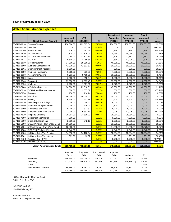#### **Water Administration Expenses**

|              |                                        |                          |                          |         | <b>Department</b> | <b>Manager</b> | <b>Board</b>    |               |
|--------------|----------------------------------------|--------------------------|--------------------------|---------|-------------------|----------------|-----------------|---------------|
|              |                                        | <b>Amended</b>           | <b>YTD</b>               |         | <b>Requested</b>  | Recommend      | <b>Approved</b> | $\frac{9}{6}$ |
|              | <b>Object Expense Account</b>          | FY 2019                  | 3/31/2019                | $\%$    | FY2020            | FY 2020        | FY 2020         | Change        |
| 60-7110-1210 | Salary & Wages                         | 230,366.00               | 169,867.64               | 73.74%  | 264,068.00        | 258,831.00     | 258,831.00      | 12.36%        |
| 60-7110-1220 | Overtime                               |                          | 407.89                   | #DIV/0! |                   |                |                 | #DIV/0!       |
| 60-7110-1250 | <b>Phone Stipend</b>                   | 726.00                   | 461.45                   | 63.56%  | 1,744.00          | 1,744.00       | 1,744.00        | 140.22%       |
| 60-7110-1810 | FICA/Medicare                          | 17,678.00                | 12,879.03                | 72.85%  | 20,439.00         | 19,934.00      | 19,934.00       | 12.76%        |
| 60-7110-1820 | <b>NC Municipal Retirement</b>         | 17,068.00                | 13,123.89                | 76.89%  | 22,376.00         | 21,852.00      | 21,852.00       | 28.03%        |
| 60-7110-1821 | <b>NC 401k</b>                         | 6,608.00                 | 4,256.86                 | 64.42%  | 12,538.00         | 12,208.00      | 7,325.00        | 84.75%        |
| 60-7110-1830 | Group Insurance                        | 37,200.00                | 19,310.08                | 51.91%  | 46,335.00         | 46,335.00      | 46,335.00       | 24.56%        |
| 60-7110-1860 | <b>Workers Compensation</b>            | 42,935.00                | 42,503.57                | 99.00%  | 50,000.00         | 50,000.00      | 50,000.00       | 16.46%        |
| 60-7110-1861 | Unemployment Insurance                 | 1,500.00                 |                          | 0.00%   | 500.00            | 500.00         | 500.00          | $-66.67%$     |
| 60-7110-1890 | Retirees' Healthcare                   | 6,268.00                 | 4,821.95                 | 76.93%  | 7,000.00          | 7,000.00       | 7,000.00        | 11.68%        |
| 60-7110-1910 | Accounting/Auditing                    | 9,711.00                 | 9,468.75                 | 97.51%  | 10,625.00         | 10,625.00      | 10,625.00       | 9.41%         |
| 60-7110-1920 | Legal                                  | 6,500.00                 | 4,918.64                 | 75.67%  | 9,000.00          | 9,000.00       | 9,000.00        | 38.46%        |
| 60-7110-1940 | Engineering                            | 39,850.00                | 3,889.45                 | 9.76%   | 39,850.00         | 6,000.00       | 6,000.00        | $-84.94%$     |
| 60-7110-2120 | <b>Uniforms</b>                        | 2,200.00                 | 1,561.36                 | 70.97%  | 2,375.00          | 2,375.00       | 2,375.00        | 7.95%         |
| 60-7110-3200 | VC-3 Cloud Services                    | 36,000.00                | 29,010.81                | 80.59%  | 45,000.00         | 40,000.00      | 40,000.00       | 11.11%        |
| 60-7110-3210 | SCADA land line and internet           | 2,800.00                 | 2,037.69                 | 72.77%  | 1,800.00          | 1,800.00       | 1,800.00        | $-35.71%$     |
| 60-7110-3250 | Postage                                | 150.00                   | 114.14                   | 76.09%  | 150.00            | 150.00         | 150.00          | 0.00%         |
| 60-7110-3310 | Electricity                            | 60,000.00                | 40,059.60                | 66.77%  | 60,000.00         | 60,000.00      | 60,000.00       | 0.00%         |
| 60-7110-3410 | Printing                               | 6,500.00                 | 3,611.78                 | 55.57%  | 7,500.00          | 5,500.00       | 5,500.00        | $-15.38%$     |
| 60-7110-3510 | Maint/Repair - Buildings               | 1,000.00                 | 534.40                   | 53.44%  | 8,000.00          | 1,000.00       | 1,000.00        | 0.00%         |
| 60-7110-3980 | Water Permit System Fees               | 3,000.00                 | 2,705.00                 | 90.17%  | 3,500.00          | 3,000.00       | 3,000.00        | 0.00%         |
| 60-7110-3990 | <b>Contracted Services</b>             | 6,200.00                 | 2,322.32                 | 37.46%  | 6,200.00          | 6,200.00       | 6,200.00        | 0.00%         |
| 60-7110-4400 | <b>Computer Software Contract</b>      | 7,000.00                 | 5,397.19                 | 77.10%  | 17,025.00         | 17,025.00      | 17,025.00       | 143.21%       |
| 60-7110-4510 | Property & Liability                   | 25,064.00                | 24,698.23                | 98.54%  | 25,064.00         | 25,064.00      | 25,064.00       | 0.00%         |
| 60-7110-4990 | Equipment/Not Capital                  | 4,000.00                 |                          | 0.00%   | 8,000.00          | 4,000.00       | 4,000.00        | 0.00%         |
| 60-7110-5300 | Dues & Subscriptions                   | 2,500.00                 | 242.13                   | 9.69%   | 2,725.00          | 2,000.00       | 2,000.00        | $-20.00%$     |
| 60-7110-7500 | <b>USDA Principal - Raw Water Bond</b> | 10,000.00                | $\blacksquare$           | 0.00%   | 11,000.00         | 11,000.00      | 11,000.00       | 10.00%        |
| 60-7110-7501 | USDA Interest - Raw Water Bond         | 23,800.00                | $\overline{\phantom{a}}$ | 0.00%   | 34,050.00         | 34,050.00      | 23,375.00       | 43.07%        |
| 60-7110-7504 | NCDENR Well #9 - Principal             | 6,546.00                 | $\overline{a}$           | 0.00%   | 6,546.00          | 6,546.00       | 6,546.00        | 0.00%         |
| 60-7110-7700 | KS Bank Jetter/Vac Principal           | 14,310.00                | 14,120.64                | 0.00%   | 12,234.00         | 12,234.00      | 12,234.00       | $-14.51%$     |
| 60-7110-7701 | KS Bank Jetter/Vac Interest            | 1,009.00                 | 12.67                    | 0.00%   | 1,901.00          | 1,901.00       | 1,901.00        | 88.40%        |
| 60-7110-XXXX | Principal Due - FY20                   |                          | $\overline{\phantom{a}}$ | 0.00%   | 8,730.00          | 8,730.00       | 8,730.00        | #DIV/0!       |
|              | 60-7110-XXXX   Interest Due - FY20     | $\overline{\phantom{a}}$ | $\overline{\phantom{a}}$ | 0.00%   | 2,020.00          | 2,020.00       | 2,020.00        | #DIV/0!       |
|              | <b>Water Administration Totals</b>     | 628.489.00               | 412.337.16               | 65.61%  | 748,295.00        | 688.624.00     | 673,066.00      | 9.57%         |

|                        | Amended     | Requested   | Recommend  | Approved                 |                          |          |
|------------------------|-------------|-------------|------------|--------------------------|--------------------------|----------|
|                        | <b>FY19</b> | <b>FY20</b> | FY20       | <b>FY20</b>              | Variance                 | %        |
| Personnel              | 360.349.00  | 425.000.00  | 418.404.00 | 413.521.00               | 53.172.00                | 14.76%   |
| Operating              | 212.475.00  | 246.814.00  | 193.739.00 | 193.739.00               | (18,736.00)              | $-8.82%$ |
| Capital                |             | $\,$        | $\,$       | $\overline{\phantom{a}}$ | $\overline{\phantom{0}}$ | #DIV/0!  |
| Debt Service/Transfers | 55.665.00   | 76.481.00   | 76.481.00  | 65.806.00                | 10.141.00                | 18.22%   |
|                        | 628.489.00  | 748.295.00  | 688.624.00 | 673.066.00               | 44.577.00                | 7.09%    |

USDA - Raw Water Revenue Bond Paid in Full - June 2047

NCDENR Well #9 Paid in Full - May 2032

KS Bank Jetter/Vac Pain in Full - September 2023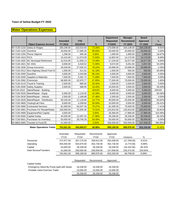## **Water Operations Expenses**

|                             |                                         |                |            |         | <b>Department</b> | <b>Manager</b>   | <b>Board</b> |           |
|-----------------------------|-----------------------------------------|----------------|------------|---------|-------------------|------------------|--------------|-----------|
|                             |                                         | <b>Amended</b> | <b>YTD</b> |         | <b>Requested</b>  | <b>Recommend</b> | Approved     | $\%$      |
|                             | <b>Object Expense Account</b>           | FY 2019        | 3/31/2019  | %       | <b>FY2020</b>     | FY 2020          | FY 2020      | Change    |
| 60-7130-1210                | Salary & Wages                          | 180,198.00     | 132,014.93 | 73.26%  | 170,699.00        | 164,138.00       | 164,138.00   | $-8.91%$  |
| 60-7130-1220                | Overtime                                | 20,000.00      | 17,385.26  | 86.93%  | 20,000.00         | 20,000.00        | 20,000.00    | 0.00%     |
|                             | 60-7130-1250 Phone Stipend              | 1,296.00       | 946.48     | 0.00%   | 1,080.00          | 1,080.00         | 1,080.00     | $-16.67%$ |
| 60-7130-1810 FICA           |                                         | 15,415.00      | 11,073.09  | 71.83%  | 14,802.00         | 14,170.00        | 14,170.00    | $-8.08%$  |
|                             | 60-7130-1820   NC Municipal Retirement  | 15,516.00      | 11,558.13  | 74.49%  | 17,234.00         | 16,577.00        | 16,577.00    | 6.84%     |
| 60-7130-1821 NC 401k        |                                         | 6,006.00       | 4,318.52   | 71.90%  | 9,674.00          | 9,261.00         | 5,557.00     | 54.20%    |
|                             | 60-7130-1830 Group Insurance            | 34,546.00      | 27,030.23  | 78.24%  | 33,686.00         | 33,686.00        | 33,686.00    | $-2.49%$  |
|                             | 60-7130-2512 Non-Highway Diesel Fuel #2 | 1,000.00       | 411.81     | 41.18%  | 1,000.00          | 550.00           | 550.00       | $-45.00%$ |
| 60-7130-2590                | Gasoline                                | 4,000.00       | 3,443.88   | 86.10%  | 4,000.00          | 4,000.00         | 4,000.00     | 0.00%     |
| 60-7130-2600                | Supplies & Materials                    | 7,500.00       | 5,391.72   | 71.89%  | 7,500.00          | 7,500.00         | 7,500.00     | 0.00%     |
| 60-7130-2992                | Chemicals                               | 68,900.00      | 32,970.77  | 47.85%  | 77,000.00         | 70,000.00        | 70,000.00    | 1.60%     |
|                             | 60-7130-3110 Travel & Training          | 2,500.00       | 885.00     | 35.40%  | 2,500.00          | 2,500.00         | 2,500.00     | 0.00%     |
| 60-7130-3500                | <b>Safety Supplies</b>                  | 2,000.00       | 388.95     | 19.45%  | 10,000.00         | 3,000.00         | 3,000.00     | 50.00%    |
| 607130-3510                 | Maint/Repair - Building                 |                |            | #DIV/0! | 8,000.00          | 5,000.00         | 5,000.00     | #DIV/0!   |
| 60-7130-3520                | Maint/Repair - Equip                    | 5,000.00       | 2,119.25   | 42.39%  | 8,000.00          | 8,000.00         | 8,000.00     | 60.00%    |
| 60-7130-3530                | Maint/Repair - Vehicle                  | 2,500.00       | 1,186.88   | 47.48%  | 2,500.00          | 2,500.00         | 2,500.00     | 0.00%     |
| 60-7130-3540                | Maint/Repair - Distribution             | 69,100.00      | 17,118.80  | 24.77%  | 90,000.00         | 25,000.00        | 25,000.00    | $-63.82%$ |
| 60-7130-3800                | <b>Testing/Lab Fees</b>                 | 8,500.00       | 4,299.84   | 50.59%  | 10,000.00         | 6,000.00         | 6,000.00     | $-29.41%$ |
| 60-7130-3990                | <b>Contracted Services</b>              | 81,000.00      | 64,207.49  | 79.27%  | 81,000.00         | 75,000.00        | 75,000.00    | $-7.41%$  |
| 60-7130-3991                | Purchase For Resale/Water               | 100,000.00     | 72,005.36  | 72.01%  | 125,810.00        | 125,810.00       | 125,810.00   | 25.81%    |
| 60-7130-4990                | Equipment/Not Capital                   | 3,500.00       |            | 0.00%   | 26,366.00         | 17,866.00        | 17,866.00    | 410.46%   |
| 60-7130-5000 Capital Outlay |                                         | 44,500.00      | 12,397.20  | 27.86%  | 28,338.00         | 28,338.00        | 28,338.00    | $-36.32%$ |
| 60-7130-9501                | Purchases for Inventory                 | 50,000.00      | 29,746.28  | 59.49%  | 50,000.00         | 50,000.00        | 50,000.00    | 0.00%     |
| 60-9800-0065                | Transfer to Fund 65                     | 41,584.00      |            | 0.00%   | 200,000.00        | 200,000.00       | 147,058.00   | 380.95%   |
|                             | <b>Water Operations Totals</b>          | 764,561.00     | 450,899.87 | 58.98%  | 999,189.00        | 889,976.00       | 833,330.00   | 16.40%    |

|                                           | Amended     | Requested   | Recommend   | Approved    |              |           |
|-------------------------------------------|-------------|-------------|-------------|-------------|--------------|-----------|
|                                           | <b>FY19</b> | <b>FY20</b> | <b>FY20</b> | <b>FY20</b> | Variance     | %         |
| Personnel                                 | 272.977.00  | 267.175.00  | 258.912.00  | 255.208.00  | (17,769.00)  | $-6.51%$  |
| Operating                                 | 405,500.00  | 503,676.00  | 402.726.00  | 402.726.00  | (2,774.00)   | $-0.68%$  |
| Capital                                   | 44,500.00   | 28,338.00   | 28,338.00   | 28,338.00   | (16, 162.00) | $-36.32%$ |
| Debt Service/Transfers                    | 41,584.00   | 200.000.00  | 200,000.00  | 147.058.00  | 105,474.00   | 253.64%   |
|                                           | 764,561.00  | 999.189.00  | 889.976.00  | 833.330.00  | 68,769.00    | 8.99%     |
|                                           |             |             |             |             |              |           |
|                                           |             | Requested   | Recommend   | Approved    |              |           |
| Capital Outlay                            |             |             |             |             |              |           |
| Emergency Stand By Pump (split with Sewer |             | 18.338.00   | 18,338.00   | 18,338.00   |              |           |
| Portable Valve Exercise Trailer           |             | 10,000.00   | 10.000.00   | 10,000.00   |              |           |
|                                           |             | 28.338.00   | 28.338.00   | 28.338.00   |              |           |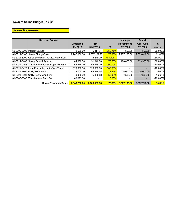## **Sewer Revenues**

| <b>Revenue Source</b>                              |              |              |               | <b>Manager</b>           | <b>Board</b> |               |
|----------------------------------------------------|--------------|--------------|---------------|--------------------------|--------------|---------------|
|                                                    | Amended      | <b>YTD</b>   |               | Recommend                | Approved     | $\frac{9}{6}$ |
|                                                    | FY 2019      | 3/31/2019    | $\frac{9}{6}$ | FY 2020                  | FY 2020      | Change        |
| 61-3290-0000 Interest Earned                       | 2,500.00     | 6.417.74     | 256.71%       | 7.500.00                 | 7,500.00     | 200.00%       |
| 61-3714-5100 Sewer Charge/Basic                    | 2,287,000.00 | 1,677,131.97 | 73.33%        | 2,777,190.00             | 2,683,411.00 | 21.43%        |
| 61-3714-5200 Other Services (Tap Ins, Restoration) |              | 3,275.00     | #DIV/0!       | $\blacksquare$           | - 1          | #DIV/0!       |
| 61-3714-5400 Sewer Capital Reserve                 | 44,000.00    | 31,046.98    | 70.56%        | 400.000.00               | 219,300.00   | 809.09%       |
| 61-3721-0066 Transfer from Sewer Capital Reserve   | 56,375.00    | 56.375.00    | 100.00%       |                          |              | $-100.00\%$   |
| 61-3721-5420 Loan Proceeds - Jetter/Vac Truck      | 329,000.00   | 329,000.00   | 100.00%       | $\overline{\phantom{0}}$ | ۰.           | $-100.00\%$   |
| 61-3721-5800 Utility Bill Penalties                | 75,000.00    | 54,955.96    | 73.27%        | 75,000.00                | 75,000.00    | $0.00\%$      |
| 61-3721-5801 Utility Connection Fees               | 9,000.00     | 5,306.68     | 58.96%        | 7,500.00                 | 7,500.00     | $-16.67%$     |
| 61-3980-3000 Transfer from Fund 30                 | 40,893.00    |              | 0.00%         |                          |              | $-100.00\%$   |
| <b>Sewer Revenues Totals</b>                       | 2.843.768.00 | 2.163.509.33 | <b>76.08%</b> | 3,267,190.00             | 2,992,711.00 | <b>14.89%</b> |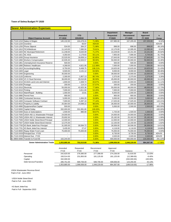#### **Sewer Administration Expenses**

|                          |                                               | Amended      | <b>YTD</b>               |         | <b>Department</b><br>Requested | <b>Manager</b><br><b>Recommend</b> | <b>Board</b><br><b>Approved</b> | $\%$        |
|--------------------------|-----------------------------------------------|--------------|--------------------------|---------|--------------------------------|------------------------------------|---------------------------------|-------------|
|                          | <b>Object Expense Account</b>                 | FY 2019      | 3/31/2019                | $\%$    | FY2020                         | FY 2020                            | FY 2020                         | Change      |
|                          | 61-7110-1210 Salary & Wages                   | 145,132.00   | 104,478.24               | 71.99%  | 157,985.00                     | 157,205.00                         | 157,205.00                      | 8.32%       |
| 61-7110-1220 Overtime    |                                               |              | 50.97                    | #DIV/0! |                                |                                    |                                 | #DIV/0!     |
|                          | 61-7110-1250 Phone Stipend                    | 534.00       | 384.37                   | 71.98%  | 898.00                         | 898.00                             | 898.00                          | 68.16%      |
|                          | 61-7110-1810 FICA/Medicare                    | 11,143.00    | 7.890.50                 | 70.81%  | 12,170.00                      | 12.095.00                          | 12.095.00                       | 8.54%       |
|                          | 61-7110-1820 NC Municipal Retirement          | 11,238.00    | 8,020.09                 | 71.37%  | 14,229.00                      | 14,151.00                          | 14,151.00                       | 25.92%      |
| 61-7110-1821 NC 401k     |                                               | 4.350.00     | 2,179.83                 | 50.11%  | 7.955.00                       | 7,906.00                           | 4,744.00                        | 81.75%      |
|                          | 61-7110-1830 Group Insurance                  | 22,520.00    | 18,658.14                | 82.85%  | 27,643.00                      | 27,643.00                          | 27,643.00                       | 22.75%      |
|                          | 61-7110-1860 Workers Compensation             | 42,935.00    | 42,503.57                | 99.00%  | 50,000.00                      | 50,000.00                          | 50,000.00                       | 16.46%      |
|                          | 61-7110-1861 Unemployment Insurance Reserve   | 500.00       |                          | 0.00%   | 500.00                         | 500.00                             | 500.00                          | 0.00%       |
|                          | 61-7110-1890 Retirees' Healthcare             | 4,268.00     | 4,821.95                 | 112.98% | 7,000.00                       | 7,000.00                           | 7,000.00                        | 64.01%      |
|                          | 61-7110-1910 Accounting/Auditing              | 8,750.00     | 9,468.75                 | 108.21% | 10,625.00                      | 10,625.00                          | 10,625.00                       | 21.43%      |
| 61-7110-1920 Legal       |                                               | 6,500.00     | 4,131.12                 | 63.56%  | 9,000.00                       | 9,000.00                           | 9,000.00                        | 38.46%      |
| 61-7110-1940 Engineering |                                               | 35,000.00    | ÷                        | 0.00%   | 39,000.00                      | 10,000.00                          | 10,000.00                       | $-71.43%$   |
| 61-7110-2120 Uniforms    |                                               | 2,300.00     | 1,857.13                 | 80.74%  | 2,375.00                       | 2,375.00                           | 2,375.00                        | 3.26%       |
|                          | 61-7110-3200 VC-3 Cloud Services              | 36,000.00    | 29,010.80                | 80.59%  | 45,000.00                      | 40,000.00                          | 40,000.00                       | 11.11%      |
|                          | 61-7110-3210 SCADA Land Line and Internet     | 1,800.00     | 1,509.74                 | 83.87%  | 2,000.00                       | 2,000.00                           | 2,000.00                        | 11.11%      |
| 61-7110-3250 Postage     |                                               | 200.00       | 114.14                   | 57.07%  | 200.00                         | 200.00                             | 200.00                          | 0.00%       |
| 61-7110-3310 Electricity |                                               | 55,000.00    | 42,825.36                | 77.86%  | 55,000.00                      | 48,000.00                          | 48,000.00                       | $-12.73%$   |
| 61-7110-3410 Printing    |                                               | 7.000.00     | 3,811.69                 | 54.45%  | 7.000.00                       | 7.000.00                           | 7,000.00                        | 0.00%       |
|                          | 61-7110-3510 Maint/Repair - Building          | 1,000.00     | 15.81                    | 1.58%   | 6,000.00                       | 1,000.00                           | 1,000.00                        | 0.00%       |
| 61-7110-3980 Permit Fees |                                               | 900.00       |                          | 0.00%   | 900.00                         | 900.00                             | 900.00                          | 0.00%       |
|                          | 61-7110-3990 Contracted Services              | 5,000.00     | 1,694.20                 | 33.88%  | 5,000.00                       | 3,000.00                           | 3,000.00                        | -40.00%     |
|                          | 61-7110-4400 Computer Software Contract       | 7,000.00     | 5,397.19                 | 77.10%  | 17,025.00                      | 17,025.00                          | 17,025.00                       | 143.21%     |
|                          | 61-7110-4510 Property & Liability             | 25,064.00    | 24,698.22                | 98.54%  | 26,000.00                      | 26,000.00                          | 26,000.00                       | 3.73%       |
|                          | 61-7110-4990 Equipment/Not Capital            | 500.00       |                          | 0.00%   | 5,000.00                       | 2,500.00                           | 2,500.00                        | 400.00%     |
|                          | 61-7110-5000 Capital Outlay                   | 332,000.00   | 331,991.80               | 100.00% |                                |                                    | ٠                               | $-100.00\%$ |
|                          | 61-7110-5300 Dues & Subscriptions             | 1,500.00     | 880.00                   | 58.67%  | 1,725.00                       | 1,500.00                           | 1,500.00                        | 0.00%       |
|                          | 61-7110-7500 USDA #92-11 Wastewater Principal | 24,000.00    | ÷.                       | 0.00%   | 24,000.00                      | 24,000.00                          | 24,000.00                       | 0.00%       |
|                          | 61-7110-7505 USDA #92-11 Wastewater Interest  | 25,692.00    | $\overline{\phantom{a}}$ | 0.00%   | 25,182.00                      | 25,182.00                          | 25,182.00                       | $-1.99%$    |
|                          | 61-7110-7506 USDA Noble Street Bond Principal | 12,000.00    | $\sim$                   | 0.00%   | 12,000.00                      | 12,000.00                          | 12,000.00                       | 0.00%       |
|                          | 61-7110-7507 USDA Noble Street Bond Interest  | 12,375.00    |                          | 0.00%   | 12,150.00                      | 12,150.00                          | 12,150.00                       | $-1.82%$    |
|                          | 61-7110-7700 KS Bank Jetter/Vac Principal     | 31,005.00    | 30,594.72                | 0.00%   | 26,506.00                      | 26,506.00                          | 26,506.00                       | $-14.51%$   |
|                          | 61-7110-7701 KS Bank Jetter/Vac Interest      | 3,435.00     | 27.47                    | 0.00%   | 4,118.00                       | 4,118.00                           | 4,118.00                        | 19.88%      |
|                          | 61-7110-8000 Repay Water Fund Loan            | 75,000.00    | 75.000.00                | 0.00%   | 75,000.00                      | 75.000.00                          | 75,000.00                       | 0.00%       |
|                          | 61-7110-XXXX Principal Due - FY20             |              |                          | 0.00%   | 8,730.00                       | 8,730.00                           | 8,730.00                        | #DIV/0!     |
|                          | 61-7110-XXXX Interest Due - FY20              |              |                          | 0.00%   | 2,020.00                       | 2,020.00                           | 2,020.00                        | #DIV/0!     |
|                          | 61-9800-0066 Transfer to Fund 66              | 102,244.00   | ÷                        | 0.00%   | 400,000.00                     | 400,000.00                         | 219,300.00                      | 291.22%     |
|                          | <b>Sewer Administration Totals</b>            | 1,053,885.00 | 752.015.80               | 71.36%  | 1,099,936.00                   | 1,048,229.00                       | 864,367.00                      | $-17.98%$   |

|                        | Amended    | Requested  | Recommend    | Approved   |              |             |
|------------------------|------------|------------|--------------|------------|--------------|-------------|
|                        | FY19       | FY20       | <b>FY20</b>  | FY20       | Variance     | %           |
| Personnel              | 242.620.00 | 278.380.00 | 277.398.00   | 274.236.00 | 31.616.00    | 13.03%      |
| Operating              | 193.514.00 | 231.850.00 | 181.125.00   | 181.125.00 | (12,389.00)  | $-6.40%$    |
| Capital                | 332.000.00 | ۰          |              |            | (332,000.00) | $-100.00\%$ |
| Debt Service/Transfers | 285.751.00 | 589.706.00 | 589.706.00   | 409.006.00 | 123.255.00   | 43.13%      |
|                        | 053.885.00 | 099.936.00 | 1.048.229.00 | 864.367.00 | (189.518.00) | $-17.98%$   |

USDA Wastewater Revenue Bond Paid in Full - June 2053

USDA Noble Street Bond Paid in Full - June 2056

KS Bank Jetter/Vac Paid in Full - September 2023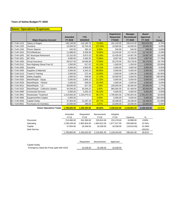#### **Sewer Operations Expenses**

|              |                                  |                |              |         | <b>Department</b> | <b>Manager</b>   | <b>Board</b>    |           |
|--------------|----------------------------------|----------------|--------------|---------|-------------------|------------------|-----------------|-----------|
|              |                                  | <b>Amended</b> | <b>YTD</b>   |         | <b>Requested</b>  | <b>Recommend</b> | <b>Approved</b> | %         |
|              | <b>Object Expense Account</b>    | FY 2019        | 3/31/2019    | %       | <b>FY2020</b>     | FY 2020          | FY 2020         | Change    |
| 61-7140-1210 | Salary & Wages                   | 146,148.00     | 116,160.78   | 79.48%  | 161,240.00        | 156.015.00       | 156,015.00      | 6.75%     |
| 61-7140-1220 | Overtime                         | 10.000.00      | 10,704.26    | 107.04% | 10,000.00         | 10,000.00        | 10,000.00       | 0.00%     |
| 61-7140-1250 | Phone Stipend                    | 540.00         | 350.10       | 0.00%   | 540.00            | 540.00           | 540.00          | 0.00%     |
| 61-7140-1810 | FICA/Medicare                    | 11,988.00      | 9,458.58     | 78.90%  | 13,245.00         | 12,742.00        | 12,742.00       | 6.29%     |
| 61-7140-1820 | <b>NC Municipal Retirement</b>   | 12,102.00      | 9,873.20     | 81.58%  | 15,430.00         | 14,907.00        | 14,907.00       | 23.18%    |
| 61-7140-1821 | <b>NC 401k</b>                   | 4.685.00       | 3,460.35     | 73.86%  | 8,657.00          | 8.328.00         | 4,997.00        | 77.76%    |
| 61-7140-1830 | Group Insurance                  | 28,027.00      | 19,636.88    | 70.06%  | 33.278.00         | 33,278.00        | 33,278.00       | 18.74%    |
| 61-7140-2512 | Non-Highway Diesel Fuel #2       | 1,500.00       | 617.02       | 41.13%  | 1,500.00          | 1,200.00         | 1,200.00        | $-20.00%$ |
| 61-7140-2590 | Gasoline                         | 4,000.00       | 2,605.00     | 65.13%  | 4,000.00          | 3,800.00         | 3,800.00        | $-5.00%$  |
| 61-7140-2600 | Supplies & Materials             | 5,000.00       | 4,343.10     | 86.86%  | 5,000.00          | 5,000.00         | 5,000.00        | 0.00%     |
| 61-7140-3110 | Travel & Training                | 2,500.00       | 272.44       | 10.90%  | 2,500.00          | 1,500.00         | 1,500.00        | $-40.00%$ |
| 61-7140-3500 | <b>Safety Supplies</b>           | 1,500.00       | 256.90       | 17.13%  | 10,000.00         | 3,000.00         | 3,000.00        | 100.00%   |
| 61-7140-3520 | Maint/Repair - Equip             | 5,000.00       | 1,066.13     | 21.32%  | 5,000.00          | 5,000.00         | 5,000.00        | 0.00%     |
| 61-7140-3530 | Maint/Repair - Vehicle           | 2,000.00       | 509.00       | 25.45%  | 2,000.00          | 2,000.00         | 2,000.00        | 0.00%     |
| 61-7140-3531 | Maint/Repair - I & I             | 39,500.00      | 617.30       | 1.56%   | 100,000.00        | 40,000.00        | 25,000.00       | 1.27%     |
| 61-7140-3532 | Maint/Repair - Collection System | 44,546.00      | 34,549.23    | 0.00%   | 960,000.00        | 87,409.00        | 50,000.00       | 96.22%    |
| 61-7140-3990 | <b>Contracted Services</b>       | 5,000.00       | 2,255.10     | 45.10%  | 5,000.00          | 5,000.00         | 5,000.00        | 0.00%     |
| 61-7140-3991 | <b>Wastewater Treatment</b>      | 1,415,893.00   | 1,220,075.51 | 86.17%  | 1,795,904.00      | 1,795,904.00     | 1,761,027.00    | 26.84%    |
| 61-7140-4990 | Equipment/Not Capital            | 2,000.00       |              | 0.00%   | 5,000.00          | 5,000.00         | 5,000.00        | 150.00%   |
| 61-7140-5000 | Capital Outlay                   | 37,954.00      | 11,297.19    | 29.77%  | 18,338.00         | 18,338.00        | 18,338.00       | $-51.68%$ |
| 61-7140-9501 | Purchases for Inventory          | 10,000.00      | 286.83       | 2.87%   | 10,000.00         | 10,000.00        | 10,000.00       | 0.00%     |
|              | <b>Sewer Operations Totals</b>   | 1,789,883.00   | 1,448,394.90 | 80.92%  | 3,166,632.00      | 2,218,961.00     | 2,128,344.00    | 18.91%    |

|              | Amended<br><b>FY19</b> | Requested<br><b>FY20</b> | Recommend<br><b>FY20</b> | Adopted<br>FY20 | Variance                 | %         |
|--------------|------------------------|--------------------------|--------------------------|-----------------|--------------------------|-----------|
| Personnel    | 213,490.00             | 242.390.00               | 235.810.00               | 232.479.00      | 18.989.00                | 8.89%     |
| Operating    | 1,538,439.00           | 2.905.904.00             | .964.813.00              | 1,877,527.00    | 339,088.00               | 22.04%    |
| Capital      | 37.954.00              | 18.338.00                | 18.338.00                | 18.338.00       | (19,616.00)              | $-51.68%$ |
| Debt Service |                        | $\blacksquare$           | $\overline{\phantom{0}}$ | $\blacksquare$  | $\overline{\phantom{a}}$ | #DIV/0!   |
|              | 1,789,883.00           | 3.166.632.00             | 2,218,961.00             | 2,128,344.00    | 338.461.00               | 18.91%    |
|              |                        |                          |                          |                 |                          |           |

|                                          | Requested | Recommend | Approved  |
|------------------------------------------|-----------|-----------|-----------|
| Capital Outlay                           |           |           |           |
| Emergency Stand By Pump (split with H2O) | 18.338.00 | 18.338.00 | 18.338.00 |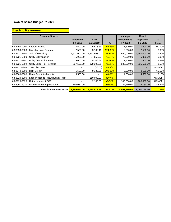| <b>Electric Revenues</b> |                                  |                           |                         |         |                                               |                                            |                         |
|--------------------------|----------------------------------|---------------------------|-------------------------|---------|-----------------------------------------------|--------------------------------------------|-------------------------|
|                          | <b>Revenue Source</b>            | <b>Amended</b><br>FY 2019 | <b>YTD</b><br>3/31/2019 | $\%$    | <b>Manager</b><br><b>Recommend</b><br>FY 2020 | <b>Board</b><br><b>Approved</b><br>FY 2020 | $\frac{9}{6}$<br>Change |
| 63-3290-0000             | Interest Earned                  | 2,500.00                  | 6,573.69                | 262.95% | 7,500.00                                      | 7,500.00                                   | 200.00%                 |
| 63-3350-0000             | Miscellaneous Revenue            | 2,500.00                  | 3,109.46                | 124.38% | 2,500.00                                      | 2,500.00                                   | 0.00%                   |
| 63-3721-5100             | Sale of Electricity              | 7,537,000.00              | 5,567,968.00            | 73.88%  | 7,650,000.00                                  | 7,650,000.00                               | 1.50%                   |
| 63-3721-5800             | Utility Bill Penalties           | 75,000.00                 | 54,955.97               | 73.27%  | 75,000.00                                     | 75,000.00                                  | 0.00%                   |
| 63-3721-5801             | Utility Connection Fees          | 9,000.00                  | 5,306.64                | 58.96%  | 7,500.00                                      | 7,500.00                                   | $-16.67%$               |
| 63-3721-5802             | Utility Sales Tax Revenue        | 527,590.00                | 379,395.55              | 71.91%  | 535,500.00                                    | 535,500.00                                 | 1.50%                   |
| 63-3721-5803             | TekCollect Fee                   |                           | (26.00)                 | #DIV/0! |                                               |                                            | #DIV/0!                 |
| 63-3740-0000             | Debt Set-Off                     | 1,500.00                  | 9,135.25                | 609.02% | 2,500.00                                      | 2,500.00                                   | 66.67%                  |
| 63-3800-0000             | <b>Rent-Pole Attachments</b>     | 5,500.00                  |                         | 0.00%   | 4,500.00                                      | 4,500.00                                   | $-18.18%$               |
| 63-3920-8000             | Loan Proceeds - New Bucket Truck | $\blacksquare$            | 110,000.00              | #DIV/0! |                                               |                                            | #DIV/0!                 |
| 63-3920-8020             | Reimbursement DOT                |                           | 2,160.00                | #DIV/0! | 100,000.00                                    | 100,000.00                                 | #DIV/0!                 |
| 63-3991-9910             | Fund Balance Appropriated        | 190,057.00                | -                       | 0.00%   | 22,160.00                                     | 22,160.00                                  | $-88.34%$               |
|                          | <b>Electric Revenues Totals</b>  | 8.350.647.00              | 6.138.578.56            | 73.51%  | 8,407,160.00                                  | 8,407,160.00                               | 0.68%                   |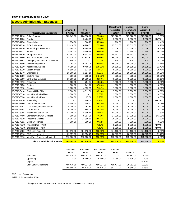#### **Electric Administration Expenses**

|              |                                       |                |            |         | <b>Department</b> | <b>Manager</b> | <b>Board</b> |           |
|--------------|---------------------------------------|----------------|------------|---------|-------------------|----------------|--------------|-----------|
|              |                                       | <b>Amended</b> | <b>YTD</b> |         | <b>Requested</b>  | Recommend      | Approved     | %         |
|              | <b>Object Expense Account</b>         | FY 2019        | 3/31/2019  | %       | FY2020            | FY 2020        | FY 2020      | Change    |
| 63-7210-1210 | Salary & Wages                        | 305,147.00     | 224,578.10 | 73.60%  | 327,520.00        | 327,520.00     | 327,520.00   | 7.33%     |
| 63-7210-1220 | Overtime                              |                | 5,406.25   | #DIV/0! | 5,000.00          | 5,000.00       | 5,000.00     | #DIV/0!   |
| 63-7210-1250 | <b>Phone Stipend</b>                  | 854.00         | 500.27     | 58.58%  | 960.00            | 960.00         | 960.00       | 12.41%    |
| 63-7210-1810 | FICA & Medicare                       | 23,410.00      | 16,986.51  | 72.56%  | 25,512.00         | 25,512.00      | 25,512.00    | 8.98%     |
| 63-7210-1820 | <b>NC Municipal Retirement</b>        | 23,665.00      | 16,799.39  | 70.99%  | 27,516.00         | 27,516.00      | 27,516.00    | 16.27%    |
| 63-7210-1821 | <b>NC 401k</b>                        | 9,161.00       | 5,866.29   | 64.04%  | 13,380.00         | 13,380.00      | 13,380.00    | 46.05%    |
| 63-7210-1830 | Group Insurance                       | 41,443.00      | 26,503.70  | 63.95%  | 48,653.00         | 48,653.00      | 48,653.00    | 17.40%    |
| 63-7210-1860 | <b>Workers Compensation</b>           | 42,935.00      | 42,503.57  | 99.00%  | 50,000.00         | 50,000.00      | 50,000.00    | 16.46%    |
| 63-7210-1861 | Unemployment Insurance Reserve        | 500.00         |            | 0.00%   | 500.00            | 500.00         | 500.00       | 0.00%     |
| 63-7210-1890 | Retirees' Healthcare                  | 37,264.00      | 35,767.26  | 95.98%  | 50,000.00         | 50,000.00      | 50,000.00    | 34.18%    |
| 63-7210-1910 | Accounting/Auditing                   | 8,750.00       | 9,468.75   | 108.21% | 10,625.00         | 10,625.00      | 10,625.00    | 21.43%    |
| 63-7210-1920 | <b>Legal Services</b>                 | 6,500.00       | 4,524.85   | 69.61%  | 9,000.00          | 9,000.00       | 9,000.00     | 38.46%    |
| 63-7210-1940 | Engineering                           | 25,000.00      | 1,517.10   | 6.07%   | 25,000.00         | 10,000.00      | 10,000.00    | $-60.00%$ |
| 63-7210-1950 | <b>Banking Fees</b>                   | 200.00         | 285.60     | 142.80% | 300.00            | 300.00         | 300.00       | 50.00%    |
| 63-7210-3200 | VC-3 Cloud Services                   | 36,000.00      | 29,010.79  | 80.59%  | 45,000.00         | 40,000.00      | 40,000.00    | 11.11%    |
| 63-7210-3210 | Telephone                             | 1,600.00       | 794.07     | 49.63%  | 1,600.00          | 1,600.00       | 1,600.00     | 0.00%     |
| 63-7210-3250 | Postage                               | 300.00         | 141.26     | 47.09%  | 300.00            | 300.00         | 300.00       | 0.00%     |
| 63-7210-3310 | Electricity                           | 7,000.00       | 4,992.65   | 71.32%  | 7,000.00          | 7,000.00       | 7,000.00     | 0.00%     |
| 63-7210-3410 | <b>Printing/Utility Bills</b>         | 7,500.00       | 3,611.86   | 48.16%  | 7,000.00          | 7,000.00       | 7,000.00     | $-6.67%$  |
| 63-7210-3510 | Maint/Repair - Building               | 3,000.00       |            | 0.00%   | 3,000.00          | 3,000.00       | 3,000.00     | 0.00%     |
| 63-7210-3520 | Maint/Repair - Equip                  | 3,000.00       | 27.80      | 0.93%   | 3,000.00          | 3,000.00       | 3,000.00     | 0.00%     |
| 63-7210-3910 | Advertising                           |                | 200.00     | #DIV/0! |                   |                |              | #DIV/0!   |
| 63-7210-3990 | <b>Contracted Services</b>            | 5,500.00       | 3,106.42   | 56.48%  | 5,000.00          | 5,000.00       | 5,000.00     | $-9.09%$  |
| 63-7210-3991 | Load Management/NCEMPA                | 5,000.00       | 3,757.50   | 75.15%  | 5,000.00          | 5,000.00       | 5,000.00     | 0.00%     |
| 63-7210-3994 | <b>ITRON</b> lease                    | 20,000.00      | 11,865.00  | 59.33%  | 20,000.00         | 20,000.00      | 20,000.00    | 0.00%     |
| 63-7210-3995 | <b>Exceleron Contract Fee</b>         | 43,000.00      | 28,396.44  | 66.04%  | 44,000.00         | 44,000.00      | 44,000.00    | 2.33%     |
| 63-7210-4400 | <b>Computer Software Contract</b>     | 7,000.00       | 5,397.20   | 77.10%  | 17,025.00         | 17,025.00      | 17,025.00    | 143.21%   |
| 63-7210-4510 | Property & Liability                  | 25,064.00      | 24,396.19  | 97.34%  | 26,000.00         | 26,000.00      | 26,000.00    | 3.73%     |
| 63-7210-4911 | <b>ElectriCities Dues</b>             | 7,300.00       | 7,090.00   | 97.12%  | 7,300.00          | 7,300.00       | 7,300.00     | 0.00%     |
| 63-7210-XXXX | Principal Due - FY20                  |                |            | #DIV/0! | 8,730.00          | 8,730.00       | 8,730.00     | #DIV/0!   |
| 63-7210-XXXX | Interest Due - FY20                   | $\overline{a}$ |            | #DIV/0! | 2,020.00          | 2,020.00       | 2,020.00     | #DIV/0!   |
| 63-7210-7500 | PNC Loan Principal                    | 264,619.00     | 264,618.93 | 100.00% | 274,102.00        | 274,102.00     | 274,102.00   | 3.58%     |
| 63-7210-7510 | <b>PNC Loan Interest</b>              | 29,857.00      | 29,856.75  | 100.00% | 20,375.00         | 20,375.00      | 20,375.00    | $-31.76%$ |
| 63-7210-9810 | Inter Fund Transfer to Fund 10        | 175,000.00     | 175,000.00 | 100.00% | 175,000.00        | 175,000.00     | 175,000.00   | 0.00%     |
|              | <b>Electric Administration Totals</b> | 1,165,569.00   | 982.970.50 | 84.33%  | 1,265,418.00      | 1,245,418.00   | 1,245,418.00 | 6.85%     |

|                        | Amended                  | Requested    | Recommend    | Adopted     |                          |         |
|------------------------|--------------------------|--------------|--------------|-------------|--------------------------|---------|
|                        | <b>FY19</b>              | <b>FY20</b>  | FY20         | <b>FY20</b> | Variance                 | %       |
| Personnel              | 484.379.00               | 549.041.00   | 549.041.00   |             | 64.662.00                | 13.35%  |
| Operating              | 211.714.00               | 236.150.00   | 216.150.00   | 214.250.00  | 4.436.00                 | 2.10%   |
| Capital                | $\overline{\phantom{a}}$ | -            | -            | ۰           | $\overline{\phantom{0}}$ | #DIV/0! |
| Debt Service/Transfers | 469.476.00               | 480.227.00   | 480.227.00   | 469.477.00  | 10.751.00                | 2.29%   |
|                        | 1.165.569.00             | 1.265.418.00 | 1.245.418.00 | 683.727.00  | 79.849.00                | 6.85%   |

PNC Loan - Substation

Paid in Full - November 2020

Change Position Title to Assistant Director as part of succession planning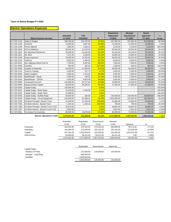## **Electric Operations Expenses**

|              | <b>Object Expense Account</b>           | <b>Amended</b><br>FY 2019 | <b>YTD</b><br>3/31/2019 | %       | <b>Department</b><br><b>Requested</b><br>FY2020 | <b>Manager</b><br>Recommend<br>FY 2020 | <b>Board</b><br>Approved<br>FY 2020 | $\%$<br>Change |
|--------------|-----------------------------------------|---------------------------|-------------------------|---------|-------------------------------------------------|----------------------------------------|-------------------------------------|----------------|
| 63-7220-1210 | Salary & Wages                          | 260,656.00                | 131,202.90              | 50.34%  | 322,590.00                                      | 322,590.00                             | 322,590.00                          | -99.99%        |
| 63-7220-1220 | Overtime                                | 12,000.00                 | 9,847.56                | 82.06%  | 12,000.00                                       | 12,000.00                              | 12,000.00                           | 0.00%          |
| 63-7220-1250 | <b>Phone Stipend</b>                    | 1,080.00                  | 2,186.15                | 0.00%   | 3,240.00                                        | 3,240.00                               | 3,240.00                            | 200.00%        |
| 63-7220-1810 | <b>FICA &amp; Medicare</b>              | 20,942.00                 | 11,215.26               | 53.55%  | 25,844.00                                       | 25,844.00                              | 25,844.00                           | 23.41%         |
| 63-7220-1820 | <b>NC Municipal Retirement</b>          | 18,268.00                 | 10,265.68               | 56.19%  | 30,236.00                                       | 30,236.00                              | 30,236.00                           | 65.51%         |
| 63-7220-1821 | <b>NC 401k</b>                          | 7,071.00                  | 3,259.56                | 46.10%  | 16,892.00                                       | 16,892.00                              | 10,136.00                           | 43.35%         |
| 63-7220-1830 | <b>Group Insurance</b>                  | 44,508.00                 | 22,354.92               | 50.23%  | 59,652.00                                       | 59,652.00                              | 59,652.00                           | 34.03%         |
| 63-7220-2120 | <b>Uniforms</b>                         | 8,000.00                  | 4,460.05                | 55.75%  | 8,500.00                                        | 8,000.00                               | 8,000.00                            | 0.00%          |
| 63-7220-2512 | Non-Highway Diesel Fuel #2              | 7,700.00                  | 5,387.85                | 69.97%  | 7,500.00                                        | 7,500.00                               | 7,500.00                            | $-2.60%$       |
| 63-7220-2590 | Gasoline                                | 300.00                    | 382.50                  | 127.50% | 1,500.00                                        | 650.00                                 | 650.00                              | 116.67%        |
| 63-7220-2600 | Supplies & Materials                    | 50,000.00                 | 41,506.82               | 83.01%  | 60,000.00                                       | 50,000.00                              | 50,000.00                           | 0.00%          |
| 63-7220-3110 | Travel & Training                       | 4,500.00                  | 187.73                  | 4.17%   | 4,500.00                                        | 2,000.00                               | 2,000.00                            | $-55.56%$      |
| 63-7220-3500 | <b>Safety Supplies</b>                  | 3,000.00                  | 1,742.84                | 58.09%  | 3,500.00                                        | 2,500.00                               | 2,500.00                            | $-16.67%$      |
| 63-7220-3520 | Maint/Repair - Equip                    | 2,000.00                  | 535.61                  | 26.78%  | 2,000.00                                        | 1,500.00                               | 1,500.00                            | $-25.00%$      |
| 63-7220-3530 | Maint/Repair - Vehicle                  | 4,500.00                  | 3,854.48                | 85.66%  | 4,000.00                                        | 4,000.00                               | 4,000.00                            | $-11.11%$      |
| 63-7220-3990 | <b>Contracted Services</b>              | 102,856.00                | 94,707.84               | 92.08%  | 76,500.00                                       | 76,500.00                              | 76,500.00                           | $-25.62%$      |
| 63-7220-4990 | Equipment/Not Capital                   | 68,500.00                 | 36,595.01               | 53.42%  | 27,500.00                                       | 27,500.00                              | 27,500.00                           | -59.85%        |
| 63-7220-5000 | Capital Outlay                          | 126,693.00                |                         | 0.00%   |                                                 |                                        | ۰.                                  | $-100.00\%$    |
| 63-7220-5001 | Capital Outlay - Ricks Road             | 52,539.00                 | 2,160.00                | 4.11%   |                                                 |                                        |                                     | $-100.00\%$    |
| 63-7220-5002 | Capital Outlay - Water Plant            | 22,969.00                 |                         | 0.00%   |                                                 |                                        |                                     | $-100.00\%$    |
| 63-7220-5003 | Capital Outlay - Buffalo Road           | 25,000.00                 | 320.00                  | 1.28%   | 100,000.00                                      | 100,000.00                             | 100,000.00                          | 300.00%        |
| 63-7220-5400 | Capital Outlay - Circuit Equipment      | 100,000.00                | 92,488.61               | 92.49%  | 2,815,000.00                                    | 125,000.00                             | 125,000.00                          | 25.00%         |
| 63-7220-7304 | <b>KS Bank Principal - Bucket Truck</b> | 31,440.84                 | 31,440.04               | 100.00% | 31,840.00                                       | 31,840.00                              | 31,840.00                           | 1.27%          |
| 63-7220-7305 | KS Bank Interest - Bucket Truck         | 1,194.16                  | 1,194.16                | 100.00% | 795.00                                          | 795.00                                 | 795.00                              | $-33.43%$      |
| 63-7220-7306 | KS Bank Principal - Bucket Truck FY18   | 20,870.00                 |                         | 0.00%   | 20,864.00                                       | 20,864.00                              | 20,864.00                           | $-0.03%$       |
| 63-7220-7307 | KS Bank Interest - Bucket Truck FY18    | 2,904.00                  |                         | 0.00%   | 2,912.00                                        | 2,912.00                               | 2,912.00                            | 0.28%          |
| 63-7220-9501 | Purchases For Inventory                 | 80,000.00                 | 34,070.49               | 42.59%  | 80,500.00                                       | 75,000.00                              | 75,000.00                           | $-6.25%$       |
|              | <b>Electric Operations Totals</b>       | 1.079.491.00              | 541.366.06              | 50.15%  | 3,717,865.00                                    | 1,007,015.00                           | 1,000,259.00                        | $-7.34%$       |

|              | Amended      | Requested    | Recommend    | Adopted      |               |            |
|--------------|--------------|--------------|--------------|--------------|---------------|------------|
|              | <b>FY19</b>  | FY20         | FY20         | FY20         | Variance      | %          |
| Personnel    | 364.525.00   | 470.454.00   | 470.454.00   | 463.698.00   | 99.173.00     | 27.21%     |
| Operating    | 331,356.00   | 276.000.00   | 255.150.00   | 255.150.00   | (76, 206.00)  | $-23.00\%$ |
| Capital      | 327.201.00   | 2.915.000.00 | 225.000.00   | 225.000.00   | (102, 201.00) | $-31.23%$  |
| Debt Service | 56.409.00    | 56.411.00    | 56.411.00    | 56.411.00    | 2.00          | $0.00\%$   |
|              | 1.079.491.00 | 3.717.865.00 | 1.007.015.00 | 1.000.259.00 | (79.232.00)   | $-7.34%$   |

|                      | Requested    | Recommend  | Approved                 |
|----------------------|--------------|------------|--------------------------|
| Capital Outlay       |              |            |                          |
| Replace 24 Poles     | 125.000.00   | 125.000.00 | 125,000.00               |
| Nextgrid - Load Mngt | 690.000.00   |            |                          |
| Eastfield            | 2.000.000.00 |            | $\overline{\phantom{a}}$ |
|                      | 2,815,000.00 | 125.000.00 | 125.000.00               |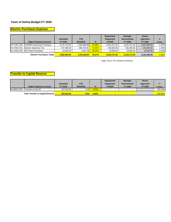## **Electric Purchases Expense**

|              |                                  |              |              |        | <b>Department</b> | <b>Manager</b> | <b>Board</b> |        |
|--------------|----------------------------------|--------------|--------------|--------|-------------------|----------------|--------------|--------|
|              |                                  | Amended      | <b>YTD</b>   |        | <b>Requested</b>  | Recommend      | Approved     | $\%$   |
|              | <b>Object Expense Account</b>    | FY 2019      | 3/31/2019    | %      | <b>FY2020</b>     | FY 2020        | FY 2020      | Change |
| 63-7230-2700 | NCEMPA Electricity Purchases     | 5.137.479.00 | 3.934.668.88 | 76.59% | 5.651.227.00      | 5.601.227.00   | 5.607.983.00 | 9.16%  |
| 63-7230-2701 | Electric Sales/Use Tax           | 527.590.00   | 390.753.39   | 74.06% | 535.500.00        | 535.500.00     | 535.500.00   | 1.50%  |
|              | 63-7230-2702 ISE Power Purchases | 18,000.00    | 8.847.36     | 49.15% | 18.000.00         | 18.000.00      | 18.000.00    | 0.00%  |
|              | <b>Electric Purchases Totals</b> | 5.683.069.00 | 4.334.269.63 | 76.27% | 6.204.727.00      | 6.154.727.00   | 6,161,483.00 | 8.30%  |

Sales Tax is 7% of Electric Revenue

## **Transfer to Capital Reserve**

|              |                                          |            |           |               | <b>Department</b> | <b>Manager</b> | <b>Board</b> |               |
|--------------|------------------------------------------|------------|-----------|---------------|-------------------|----------------|--------------|---------------|
|              |                                          | Amended    | YTD.      |               | <b>Requested</b>  | Recommend      | Approved     | $\frac{9}{6}$ |
|              | <b>Object Expense Account</b>            | FY 2019    | 3/31/2019 | $\frac{0}{6}$ | <b>FY2020</b>     | FY 2020        | FY 2020      | Change        |
| 63-9800-6700 | Transfer to fund 67                      | 422.518.00 | 0.00      | 0.00%         |                   |                | $\sim$       | $-100.00\%$   |
|              | <b>Total Transfer to Capital Reserve</b> | 422.518.00 |           | 0.00%         |                   | $\sim$         |              | $-100.00\%$   |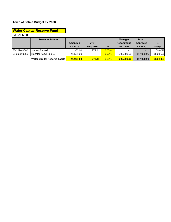# **Water Capital Reserve Fund**

## REVENUE

|              | <b>Revenue Source</b>               |           |                          |          | <b>Manager</b> | <b>Board</b>    |               |
|--------------|-------------------------------------|-----------|--------------------------|----------|----------------|-----------------|---------------|
|              |                                     | Amended   | <b>YTD</b>               |          | Recommend      | <b>Approved</b> | $\frac{9}{6}$ |
|              |                                     | FY 2019   | 3/31/2019                | $\%$     | FY 2020        | FY 2020         | Change        |
| 65-3290-0000 | Interest Earned                     | 350.00    | 272.41                   | 0.00%    |                |                 | $-100.00\%$   |
| 65-3982-0060 | Transfer from Fund 60               | 41.584.00 | $\overline{\phantom{a}}$ | $0.00\%$ | 200.000.00     | 147.058.00      | 380.95%       |
|              | <b>Water Capital Reserve Totals</b> | 41.934.00 | 272.41                   | 0.65%    | 200.000.00     | 147,058.00      | 376.94%       |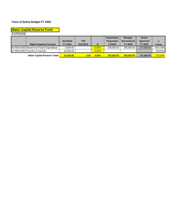#### **Water Capital Reserve Fund**

EXPENSE

|                                             |           |            |          | <b>Department</b> | <b>Manager</b>           | <b>Board</b>             |             |
|---------------------------------------------|-----------|------------|----------|-------------------|--------------------------|--------------------------|-------------|
|                                             | Amended   | <b>YTD</b> |          | <b>Requested</b>  | Recommend                | <b>Approved</b>          | %           |
| <b>Object Expense Account</b>               | FY 2019   | 3/31/2019  | $\%$     | <b>FY2020</b>     | FY 2020                  | FY 2020                  | Change      |
| 65-9930-0000 Reserve for Future Expenditure | 9.934.00  |            | $0.00\%$ | 200,000.00        | 200.000.00               | 147,058.00               | 1913.29%    |
| 65-9930-0060 Transfer to Fund 60            | 32.000.00 |            | $0.00\%$ |                   | $\overline{\phantom{a}}$ | $\overline{\phantom{0}}$ | $-100.00\%$ |
| <b>Water Capital Reserve Totals</b>         | 41.934.00 | 0.00       | $0.00\%$ | 200.000.00        | 200,000,00               | 147.058.00               | 376.94%     |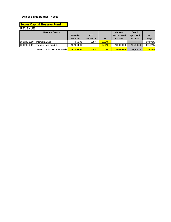## REVENUE **Sewer Capital Reserve Fund**

|              | <b>Revenue Source</b>        |            |                          |          | <b>Manager</b>   | <b>Board</b> |             |
|--------------|------------------------------|------------|--------------------------|----------|------------------|--------------|-------------|
|              |                              | Amended    | <b>YTD</b>               |          | <b>Recommend</b> | Approved     | $\%$        |
|              |                              | FY 2019    | 3/31/2019                | $\%$     | FY 2020          | FY 2020      | Change      |
| 66-3290-0000 | Interest Earned              | 350.00     | 578.47                   | 0.00%    |                  |              | $-100.00\%$ |
| 66-3982-0061 | Transfer from Fund 61        | 102.244.00 | $\overline{\phantom{a}}$ | $0.00\%$ | 400.000.00       | 219,300.00   | 291.22%     |
|              | Sewer Capital Reserve Totals | 102.594.00 | 578.47                   | 0.00%    | 400.000.00       | 219,300,00   | 289.89%     |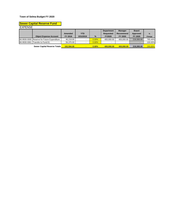## **Sewer Capital Reserve Fund**

EXPENSE

|              |                                             |            |            |               | <b>Department</b> | <b>Manager</b>           | <b>Board</b> |             |
|--------------|---------------------------------------------|------------|------------|---------------|-------------------|--------------------------|--------------|-------------|
|              |                                             | Amended    | <b>YTD</b> |               | Requested         | Recommend                | Approved     | %           |
|              | <b>Object Expense Account</b>               | FY 2019    | 3/31/2019  | $\frac{9}{6}$ | <b>FY2020</b>     | FY 2020                  | FY 2020      | Change      |
|              | 66-9930-0000 Reserve for Future Expenditure | 46.219.00  |            | $0.00\%$      | 400.000.00        | 400.000.00               | 219.300.00   | 765.44%     |
| 66-9930-0061 | Transfer to Fund 61                         | 56.375.00  |            | 0.00%         |                   | $\overline{\phantom{0}}$ |              | $-100.00\%$ |
|              | Sewer Capital Reserve Totals                | 102.594.00 |            | 0.00%         | 400.000.00        | 400.000.00               | 219,300,00   | 289.89%     |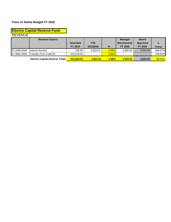|                | <b>Electric Capital Reserve Fund</b> |                |            |       |                          |                 |             |
|----------------|--------------------------------------|----------------|------------|-------|--------------------------|-----------------|-------------|
| <b>REVENUE</b> |                                      |                |            |       |                          |                 |             |
|                | <b>Revenue Source</b>                |                |            |       | <b>Manager</b>           | <b>Board</b>    |             |
|                |                                      | <b>Amended</b> | <b>YTD</b> |       | <b>Recommend</b>         | <b>Approved</b> | $\%$        |
|                |                                      | FY 2019        | 3/31/2019  | $\%$  | <b>FY 2020</b>           | FY 2020         | Change      |
| 67-3290-0000   | Interest Earned                      | 750.00         | 4.053.24   | 0.00% | 5.000.00                 | 5,000.00        | 566.67%     |
| 67-3982-0063   | Transfer From Fund 63                | 422.518.00     |            | 0.00% | $\overline{\phantom{a}}$ | -               | $-100.00\%$ |

**Electric Capital Reserve Totals 423,268.00 4,053.24 0.96% 5,000.00 5,000.00** -98.82%